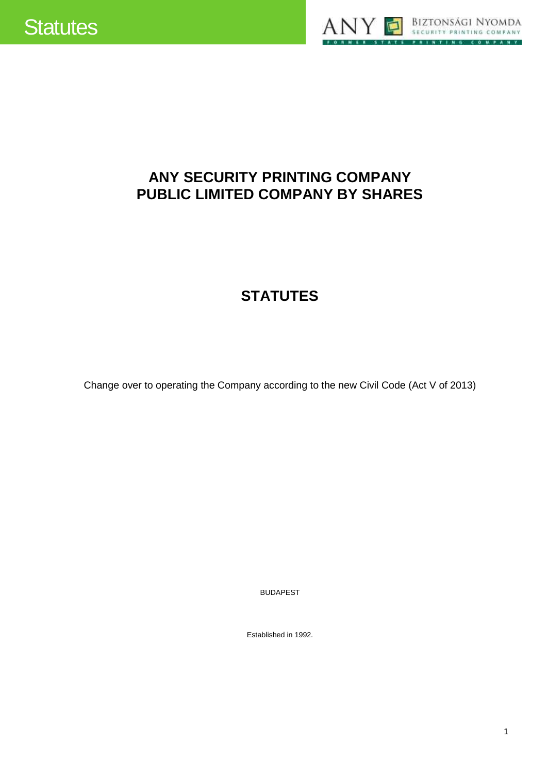



# **ANY SECURITY PRINTING COMPANY PUBLIC LIMITED COMPANY BY SHARES**

# **STATUTES**

Change over to operating the Company according to the new Civil Code (Act V of 2013)

BUDAPEST

Established in 1992.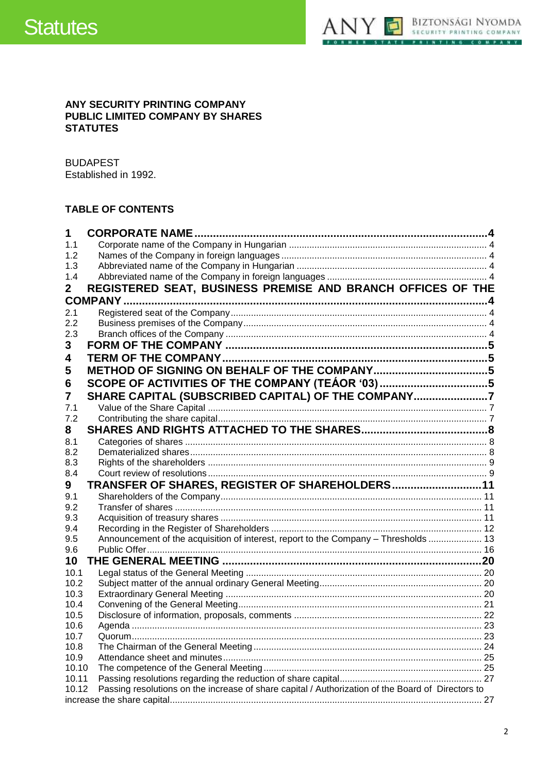

### ANY SECURITY PRINTING COMPANY PUBLIC LIMITED COMPANY BY SHARES **STATUTES**

**BUDAPEST** Established in 1992.

# **TABLE OF CONTENTS**

| 1     | <b>CORPORATE NAME.</b>                                                                            |    |
|-------|---------------------------------------------------------------------------------------------------|----|
| 1.1   |                                                                                                   |    |
| 1.2   |                                                                                                   |    |
| 1.3   |                                                                                                   |    |
| 1.4   |                                                                                                   |    |
| 2     | REGISTERED SEAT, BUSINESS PREMISE AND BRANCH OFFICES OF THE                                       |    |
|       |                                                                                                   |    |
| 2.1   |                                                                                                   |    |
| 2.2   |                                                                                                   |    |
| 2.3   |                                                                                                   |    |
| 3     |                                                                                                   |    |
| 4     |                                                                                                   |    |
| 5     |                                                                                                   |    |
| 6     | SCOPE OF ACTIVITIES OF THE COMPANY (TEÁOR '03)5                                                   |    |
| 7     | SHARE CAPITAL (SUBSCRIBED CAPITAL) OF THE COMPANY7                                                |    |
| 7.1   |                                                                                                   |    |
| 7.2   |                                                                                                   |    |
| 8     |                                                                                                   |    |
| 8.1   |                                                                                                   |    |
| 8.2   |                                                                                                   |    |
| 8.3   |                                                                                                   |    |
| 8.4   |                                                                                                   |    |
| 9     | TRANSFER OF SHARES, REGISTER OF SHAREHOLDERS 11                                                   |    |
| 9.1   |                                                                                                   |    |
| 9.2   |                                                                                                   |    |
| 9.3   |                                                                                                   |    |
| 9.4   |                                                                                                   |    |
| 9.5   | Announcement of the acquisition of interest, report to the Company - Thresholds  13               |    |
| 9.6   |                                                                                                   |    |
| 10    |                                                                                                   |    |
| 10.1  |                                                                                                   |    |
| 10.2  |                                                                                                   |    |
| 10.3  |                                                                                                   |    |
| 10.4  |                                                                                                   |    |
| 10.5  |                                                                                                   |    |
| 10.6  |                                                                                                   |    |
| 10.7  |                                                                                                   |    |
| 10.8  |                                                                                                   |    |
| 10.9  |                                                                                                   |    |
| 10.10 |                                                                                                   |    |
| 10.11 |                                                                                                   |    |
| 10.12 | Passing resolutions on the increase of share capital / Authorization of the Board of Directors to |    |
|       |                                                                                                   | 27 |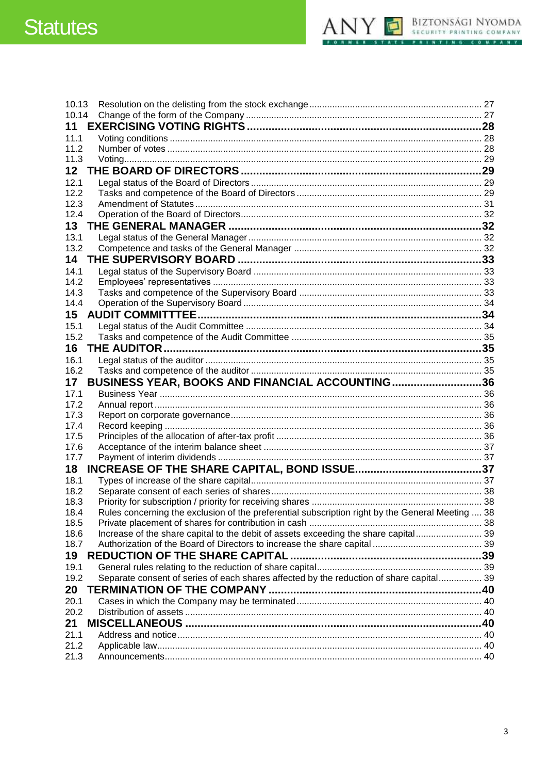# **Statutes**



| 10.13           |                                                                                                  |  |
|-----------------|--------------------------------------------------------------------------------------------------|--|
| 10.14           |                                                                                                  |  |
| 11              |                                                                                                  |  |
| 11.1            |                                                                                                  |  |
| 11.2            |                                                                                                  |  |
| 11.3            |                                                                                                  |  |
| 12 <sup>2</sup> |                                                                                                  |  |
| 12.1            |                                                                                                  |  |
| 12.2            |                                                                                                  |  |
| 12.3            |                                                                                                  |  |
| 12.4            |                                                                                                  |  |
| 13              |                                                                                                  |  |
| 13.1            |                                                                                                  |  |
| 13.2            |                                                                                                  |  |
| 14              |                                                                                                  |  |
| 14.1            |                                                                                                  |  |
| 14.2<br>14.3    |                                                                                                  |  |
| 14.4            |                                                                                                  |  |
| 15              |                                                                                                  |  |
| 15.1            |                                                                                                  |  |
| 15.2            |                                                                                                  |  |
| 16              |                                                                                                  |  |
| 16.1            |                                                                                                  |  |
| 16.2            |                                                                                                  |  |
|                 |                                                                                                  |  |
|                 |                                                                                                  |  |
| 17              | BUSINESS YEAR, BOOKS AND FINANCIAL ACCOUNTING36                                                  |  |
| 17.1            |                                                                                                  |  |
| 17.2            |                                                                                                  |  |
| 17.3<br>17.4    |                                                                                                  |  |
| 17.5            |                                                                                                  |  |
| 17.6            |                                                                                                  |  |
| 17.7            |                                                                                                  |  |
| 18              |                                                                                                  |  |
| 18.1            |                                                                                                  |  |
| 18.2            |                                                                                                  |  |
| 18.3            |                                                                                                  |  |
| 18.4            | Rules concerning the exclusion of the preferential subscription right by the General Meeting  38 |  |
| 18.5            |                                                                                                  |  |
| 18.6            | Increase of the share capital to the debit of assets exceeding the share capital 39              |  |
| 18.7            |                                                                                                  |  |
| 19              |                                                                                                  |  |
| 19.1            |                                                                                                  |  |
| 19.2            | Separate consent of series of each shares affected by the reduction of share capital 39          |  |
| 20              |                                                                                                  |  |
| 20.1            |                                                                                                  |  |
| 20.2            |                                                                                                  |  |
| 21              |                                                                                                  |  |
| 21.1            |                                                                                                  |  |
| 21.2<br>21.3    |                                                                                                  |  |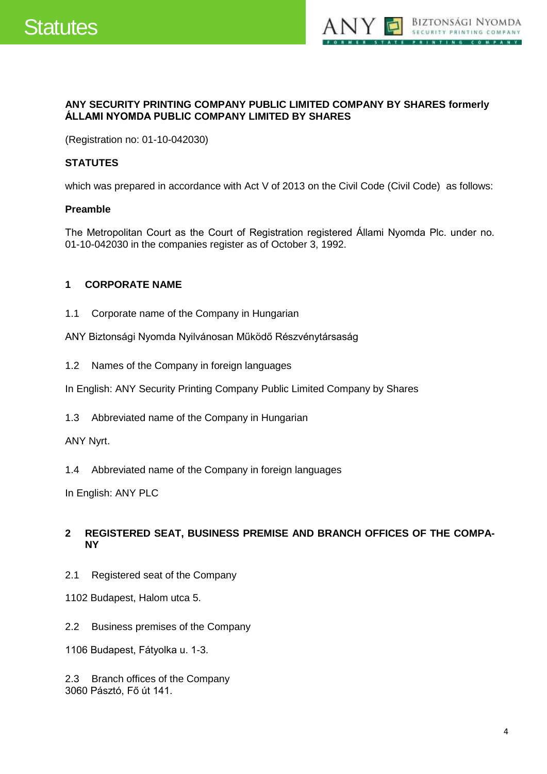

### **ANY SECURITY PRINTING COMPANY PUBLIC LIMITED COMPANY BY SHARES formerly ÁLLAMI NYOMDA PUBLIC COMPANY LIMITED BY SHARES**

(Registration no: 01-10-042030)

# **STATUTES**

which was prepared in accordance with Act V of 2013 on the Civil Code (Civil Code) as follows:

### **Preamble**

The Metropolitan Court as the Court of Registration registered Állami Nyomda Plc. under no. 01-10-042030 in the companies register as of October 3, 1992.

# <span id="page-3-0"></span>**1 CORPORATE NAME**

<span id="page-3-1"></span>1.1 Corporate name of the Company in Hungarian

ANY Biztonsági Nyomda Nyilvánosan Működő Részvénytársaság

<span id="page-3-2"></span>1.2 Names of the Company in foreign languages

In English: ANY Security Printing Company Public Limited Company by Shares

<span id="page-3-3"></span>1.3 Abbreviated name of the Company in Hungarian

ANY Nyrt.

<span id="page-3-4"></span>1.4 Abbreviated name of the Company in foreign languages

In English: ANY PLC

# <span id="page-3-5"></span>**2 REGISTERED SEAT, BUSINESS PREMISE AND BRANCH OFFICES OF THE COMPA-NY**

- <span id="page-3-6"></span>2.1 Registered seat of the Company
- 1102 Budapest, Halom utca 5.
- <span id="page-3-7"></span>2.2 Business premises of the Company
- 1106 Budapest, Fátyolka u. 1-3.

<span id="page-3-8"></span>2.3 Branch offices of the Company 3060 Pásztó, Fő út 141.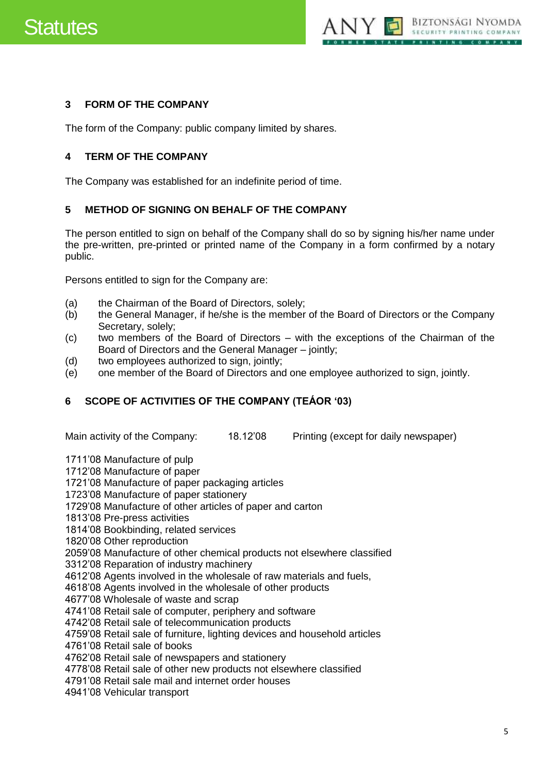

# <span id="page-4-0"></span>**3 FORM OF THE COMPANY**

The form of the Company: public company limited by shares.

# <span id="page-4-1"></span>**4 TERM OF THE COMPANY**

The Company was established for an indefinite period of time.

# <span id="page-4-2"></span>**5 METHOD OF SIGNING ON BEHALF OF THE COMPANY**

The person entitled to sign on behalf of the Company shall do so by signing his/her name under the pre-written, pre-printed or printed name of the Company in a form confirmed by a notary public.

Persons entitled to sign for the Company are:

- (a) the Chairman of the Board of Directors, solely;
- (b) the General Manager, if he/she is the member of the Board of Directors or the Company Secretary, solely;
- (c) two members of the Board of Directors with the exceptions of the Chairman of the Board of Directors and the General Manager – jointly;
- (d) two employees authorized to sign, jointly;
- (e) one member of the Board of Directors and one employee authorized to sign, jointly.

# <span id="page-4-3"></span>**6 SCOPE OF ACTIVITIES OF THE COMPANY (TEÁOR '03)**

Main activity of the Company: 18.12'08 Printing (except for daily newspaper)

1711'08 Manufacture of pulp

1712'08 Manufacture of paper

1721'08 Manufacture of paper packaging articles

1723'08 Manufacture of paper stationery

1729'08 Manufacture of other articles of paper and carton

1813'08 Pre-press activities

1814'08 Bookbinding, related services

1820'08 Other reproduction

2059'08 Manufacture of other chemical products not elsewhere classified

3312'08 Reparation of industry machinery

4612'08 Agents involved in the wholesale of raw materials and fuels,

4618'08 Agents involved in the wholesale of other products

4677'08 Wholesale of waste and scrap

4741'08 Retail sale of computer, periphery and software

4742'08 Retail sale of telecommunication products

4759'08 Retail sale of furniture, lighting devices and household articles

4761'08 Retail sale of books

4762'08 Retail sale of newspapers and stationery

4778'08 Retail sale of other new products not elsewhere classified

4791'08 Retail sale mail and internet order houses

4941'08 Vehicular transport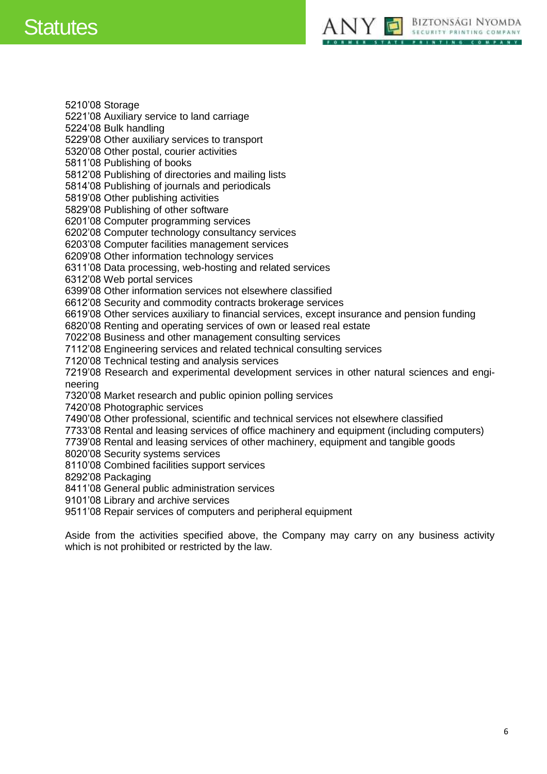# Statutes



5210'08 Storage 5221'08 Auxiliary service to land carriage 5224'08 Bulk handling 5229'08 Other auxiliary services to transport 5320'08 Other postal, courier activities 5811'08 Publishing of books 5812'08 Publishing of directories and mailing lists 5814'08 Publishing of journals and periodicals 5819'08 Other publishing activities 5829'08 Publishing of other software 6201'08 Computer programming services 6202'08 Computer technology consultancy services 6203'08 Computer facilities management services 6209'08 Other information technology services 6311'08 Data processing, web-hosting and related services 6312'08 Web portal services 6399'08 Other information services not elsewhere classified 6612'08 Security and commodity contracts brokerage services 6619'08 Other services auxiliary to financial services, except insurance and pension funding 6820'08 Renting and operating services of own or leased real estate 7022'08 Business and other management consulting services 7112'08 Engineering services and related technical consulting services 7120'08 Technical testing and analysis services 7219'08 Research and experimental development services in other natural sciences and engineering 7320'08 Market research and public opinion polling services 7420'08 Photographic services 7490'08 Other professional, scientific and technical services not elsewhere classified 7733'08 Rental and leasing services of office machinery and equipment (including computers) 7739'08 Rental and leasing services of other machinery, equipment and tangible goods 8020'08 Security systems services 8110'08 Combined facilities support services 8292'08 Packaging 8411'08 General public administration services 9101'08 Library and archive services 9511'08 Repair services of computers and peripheral equipment

Aside from the activities specified above, the Company may carry on any business activity which is not prohibited or restricted by the law.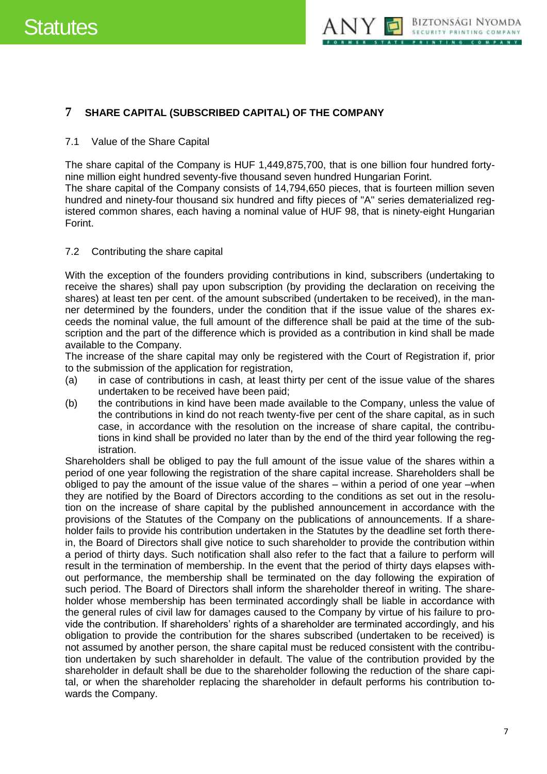

# <span id="page-6-0"></span>**7 SHARE CAPITAL (SUBSCRIBED CAPITAL) OF THE COMPANY**

#### <span id="page-6-1"></span>7.1 Value of the Share Capital

The share capital of the Company is HUF 1,449,875,700, that is one billion four hundred fortynine million eight hundred seventy-five thousand seven hundred Hungarian Forint.

The share capital of the Company consists of 14,794,650 pieces, that is fourteen million seven hundred and ninety-four thousand six hundred and fifty pieces of "A" series dematerialized registered common shares, each having a nominal value of HUF 98, that is ninety-eight Hungarian Forint.

#### <span id="page-6-2"></span>7.2 Contributing the share capital

With the exception of the founders providing contributions in kind, subscribers (undertaking to receive the shares) shall pay upon subscription (by providing the declaration on receiving the shares) at least ten per cent. of the amount subscribed (undertaken to be received), in the manner determined by the founders, under the condition that if the issue value of the shares exceeds the nominal value, the full amount of the difference shall be paid at the time of the subscription and the part of the difference which is provided as a contribution in kind shall be made available to the Company.

The increase of the share capital may only be registered with the Court of Registration if, prior to the submission of the application for registration,

- (a) in case of contributions in cash, at least thirty per cent of the issue value of the shares undertaken to be received have been paid;
- (b) the contributions in kind have been made available to the Company, unless the value of the contributions in kind do not reach twenty-five per cent of the share capital, as in such case, in accordance with the resolution on the increase of share capital, the contributions in kind shall be provided no later than by the end of the third year following the registration.

Shareholders shall be obliged to pay the full amount of the issue value of the shares within a period of one year following the registration of the share capital increase. Shareholders shall be obliged to pay the amount of the issue value of the shares – within a period of one year –when they are notified by the Board of Directors according to the conditions as set out in the resolution on the increase of share capital by the published announcement in accordance with the provisions of the Statutes of the Company on the publications of announcements. If a shareholder fails to provide his contribution undertaken in the Statutes by the deadline set forth therein, the Board of Directors shall give notice to such shareholder to provide the contribution within a period of thirty days. Such notification shall also refer to the fact that a failure to perform will result in the termination of membership. In the event that the period of thirty days elapses without performance, the membership shall be terminated on the day following the expiration of such period. The Board of Directors shall inform the shareholder thereof in writing. The shareholder whose membership has been terminated accordingly shall be liable in accordance with the general rules of civil law for damages caused to the Company by virtue of his failure to provide the contribution. If shareholders' rights of a shareholder are terminated accordingly, and his obligation to provide the contribution for the shares subscribed (undertaken to be received) is not assumed by another person, the share capital must be reduced consistent with the contribution undertaken by such shareholder in default. The value of the contribution provided by the shareholder in default shall be due to the shareholder following the reduction of the share capital, or when the shareholder replacing the shareholder in default performs his contribution towards the Company.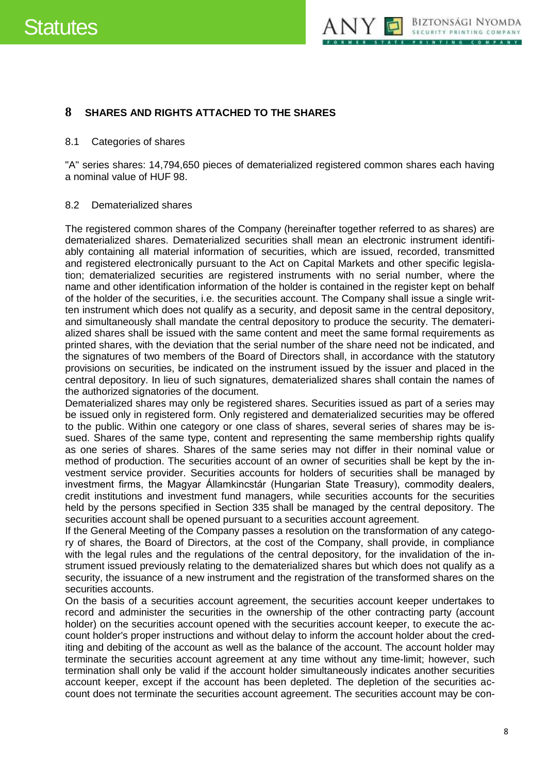

# <span id="page-7-0"></span>**8 SHARES AND RIGHTS ATTACHED TO THE SHARES**

#### <span id="page-7-1"></span>8.1 Categories of shares

"A" series shares: 14,794,650 pieces of dematerialized registered common shares each having a nominal value of HUF 98.

#### <span id="page-7-2"></span>8.2 Dematerialized shares

The registered common shares of the Company (hereinafter together referred to as shares) are dematerialized shares. Dematerialized securities shall mean an electronic instrument identifiably containing all material information of securities, which are issued, recorded, transmitted and registered electronically pursuant to the Act on Capital Markets and other specific legislation; dematerialized securities are registered instruments with no serial number, where the name and other identification information of the holder is contained in the register kept on behalf of the holder of the securities, i.e. the securities account. The Company shall issue a single written instrument which does not qualify as a security, and deposit same in the central depository, and simultaneously shall mandate the central depository to produce the security. The dematerialized shares shall be issued with the same content and meet the same formal requirements as printed shares, with the deviation that the serial number of the share need not be indicated, and the signatures of two members of the Board of Directors shall, in accordance with the statutory provisions on securities, be indicated on the instrument issued by the issuer and placed in the central depository. In lieu of such signatures, dematerialized shares shall contain the names of the authorized signatories of the document.

Dematerialized shares may only be registered shares. Securities issued as part of a series may be issued only in registered form. Only registered and dematerialized securities may be offered to the public. Within one category or one class of shares, several series of shares may be issued. Shares of the same type, content and representing the same membership rights qualify as one series of shares. Shares of the same series may not differ in their nominal value or method of production. The securities account of an owner of securities shall be kept by the investment service provider. Securities accounts for holders of securities shall be managed by investment firms, the Magyar Államkincstár (Hungarian State Treasury), commodity dealers, credit institutions and investment fund managers, while securities accounts for the securities held by the persons specified in Section 335 shall be managed by the central depository. The securities account shall be opened pursuant to a securities account agreement.

If the General Meeting of the Company passes a resolution on the transformation of any category of shares, the Board of Directors, at the cost of the Company, shall provide, in compliance with the legal rules and the regulations of the central depository, for the invalidation of the instrument issued previously relating to the dematerialized shares but which does not qualify as a security, the issuance of a new instrument and the registration of the transformed shares on the securities accounts.

On the basis of a securities account agreement, the securities account keeper undertakes to record and administer the securities in the ownership of the other contracting party (account holder) on the securities account opened with the securities account keeper, to execute the account holder's proper instructions and without delay to inform the account holder about the crediting and debiting of the account as well as the balance of the account. The account holder may terminate the securities account agreement at any time without any time-limit; however, such termination shall only be valid if the account holder simultaneously indicates another securities account keeper, except if the account has been depleted. The depletion of the securities account does not terminate the securities account agreement. The securities account may be con-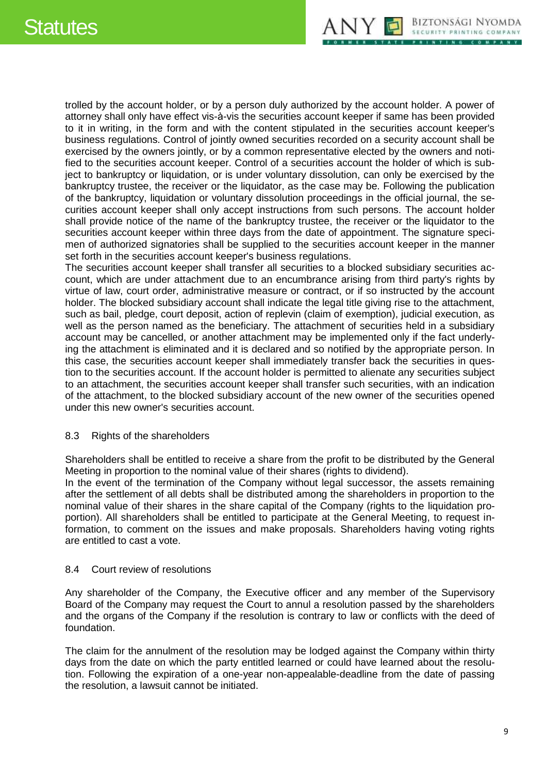# **Statutes**



trolled by the account holder, or by a person duly authorized by the account holder. A power of attorney shall only have effect vis-à-vis the securities account keeper if same has been provided to it in writing, in the form and with the content stipulated in the securities account keeper's business regulations. Control of jointly owned securities recorded on a security account shall be exercised by the owners jointly, or by a common representative elected by the owners and notified to the securities account keeper. Control of a securities account the holder of which is subject to bankruptcy or liquidation, or is under voluntary dissolution, can only be exercised by the bankruptcy trustee, the receiver or the liquidator, as the case may be. Following the publication of the bankruptcy, liquidation or voluntary dissolution proceedings in the official journal, the securities account keeper shall only accept instructions from such persons. The account holder shall provide notice of the name of the bankruptcy trustee, the receiver or the liquidator to the securities account keeper within three days from the date of appointment. The signature specimen of authorized signatories shall be supplied to the securities account keeper in the manner set forth in the securities account keeper's business regulations.

The securities account keeper shall transfer all securities to a blocked subsidiary securities account, which are under attachment due to an encumbrance arising from third party's rights by virtue of law, court order, administrative measure or contract, or if so instructed by the account holder. The blocked subsidiary account shall indicate the legal title giving rise to the attachment, such as bail, pledge, court deposit, action of replevin (claim of exemption), judicial execution, as well as the person named as the beneficiary. The attachment of securities held in a subsidiary account may be cancelled, or another attachment may be implemented only if the fact underlying the attachment is eliminated and it is declared and so notified by the appropriate person. In this case, the securities account keeper shall immediately transfer back the securities in question to the securities account. If the account holder is permitted to alienate any securities subject to an attachment, the securities account keeper shall transfer such securities, with an indication of the attachment, to the blocked subsidiary account of the new owner of the securities opened under this new owner's securities account.

#### <span id="page-8-0"></span>8.3 Rights of the shareholders

Shareholders shall be entitled to receive a share from the profit to be distributed by the General Meeting in proportion to the nominal value of their shares (rights to dividend).

In the event of the termination of the Company without legal successor, the assets remaining after the settlement of all debts shall be distributed among the shareholders in proportion to the nominal value of their shares in the share capital of the Company (rights to the liquidation proportion). All shareholders shall be entitled to participate at the General Meeting, to request information, to comment on the issues and make proposals. Shareholders having voting rights are entitled to cast a vote.

#### <span id="page-8-1"></span>8.4 Court review of resolutions

Any shareholder of the Company, the Executive officer and any member of the Supervisory Board of the Company may request the Court to annul a resolution passed by the shareholders and the organs of the Company if the resolution is contrary to law or conflicts with the deed of foundation.

The claim for the annulment of the resolution may be lodged against the Company within thirty days from the date on which the party entitled learned or could have learned about the resolution. Following the expiration of a one-year non-appealable-deadline from the date of passing the resolution, a lawsuit cannot be initiated.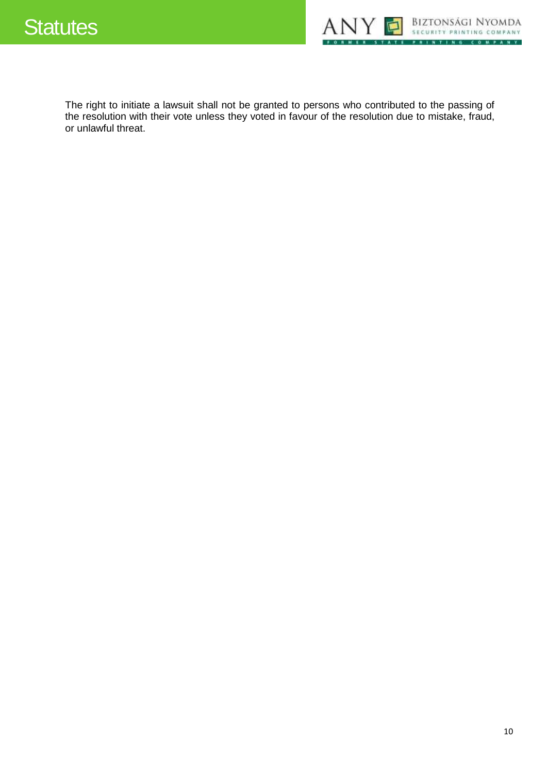

The right to initiate a lawsuit shall not be granted to persons who contributed to the passing of the resolution with their vote unless they voted in favour of the resolution due to mistake, fraud, or unlawful threat.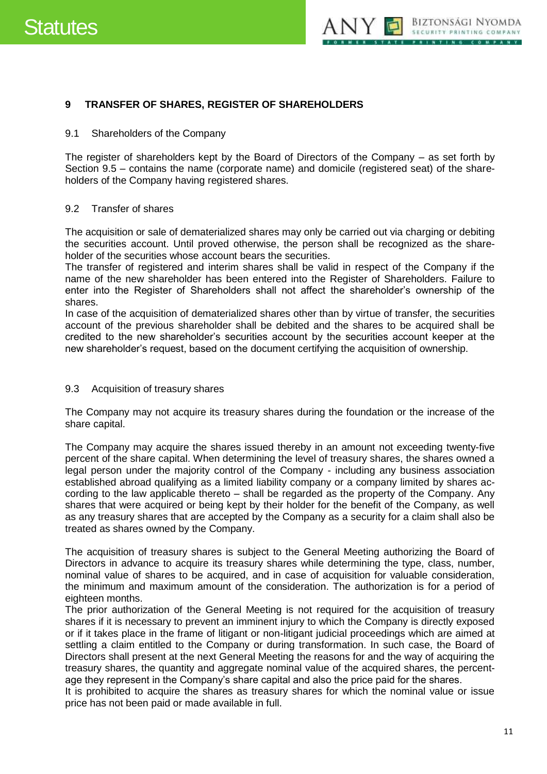

#### <span id="page-10-0"></span>**9 TRANSFER OF SHARES, REGISTER OF SHAREHOLDERS**

#### <span id="page-10-1"></span>9.1 Shareholders of the Company

The register of shareholders kept by the Board of Directors of the Company – as set forth by Section 9.5 – contains the name (corporate name) and domicile (registered seat) of the shareholders of the Company having registered shares.

#### <span id="page-10-2"></span>9.2 Transfer of shares

The acquisition or sale of dematerialized shares may only be carried out via charging or debiting the securities account. Until proved otherwise, the person shall be recognized as the shareholder of the securities whose account bears the securities.

The transfer of registered and interim shares shall be valid in respect of the Company if the name of the new shareholder has been entered into the Register of Shareholders. Failure to enter into the Register of Shareholders shall not affect the shareholder's ownership of the shares.

In case of the acquisition of dematerialized shares other than by virtue of transfer, the securities account of the previous shareholder shall be debited and the shares to be acquired shall be credited to the new shareholder's securities account by the securities account keeper at the new shareholder's request, based on the document certifying the acquisition of ownership.

#### <span id="page-10-3"></span>9.3 Acquisition of treasury shares

The Company may not acquire its treasury shares during the foundation or the increase of the share capital.

The Company may acquire the shares issued thereby in an amount not exceeding twenty-five percent of the share capital. When determining the level of treasury shares, the shares owned a legal person under the majority control of the Company - including any business association established abroad qualifying as a limited liability company or a company limited by shares according to the law applicable thereto – shall be regarded as the property of the Company. Any shares that were acquired or being kept by their holder for the benefit of the Company, as well as any treasury shares that are accepted by the Company as a security for a claim shall also be treated as shares owned by the Company.

The acquisition of treasury shares is subject to the General Meeting authorizing the Board of Directors in advance to acquire its treasury shares while determining the type, class, number, nominal value of shares to be acquired, and in case of acquisition for valuable consideration, the minimum and maximum amount of the consideration. The authorization is for a period of eighteen months.

The prior authorization of the General Meeting is not required for the acquisition of treasury shares if it is necessary to prevent an imminent injury to which the Company is directly exposed or if it takes place in the frame of litigant or non-litigant judicial proceedings which are aimed at settling a claim entitled to the Company or during transformation. In such case, the Board of Directors shall present at the next General Meeting the reasons for and the way of acquiring the treasury shares, the quantity and aggregate nominal value of the acquired shares, the percentage they represent in the Company's share capital and also the price paid for the shares.

It is prohibited to acquire the shares as treasury shares for which the nominal value or issue price has not been paid or made available in full.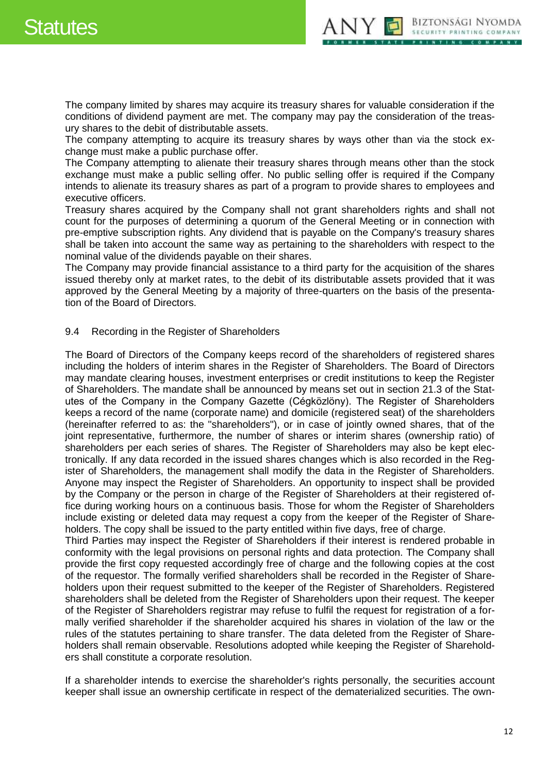

The company limited by shares may acquire its treasury shares for valuable consideration if the conditions of dividend payment are met. The company may pay the consideration of the treasury shares to the debit of distributable assets.

The company attempting to acquire its treasury shares by ways other than via the stock exchange must make a public purchase offer.

The Company attempting to alienate their treasury shares through means other than the stock exchange must make a public selling offer. No public selling offer is required if the Company intends to alienate its treasury shares as part of a program to provide shares to employees and executive officers.

Treasury shares acquired by the Company shall not grant shareholders rights and shall not count for the purposes of determining a quorum of the General Meeting or in connection with pre-emptive subscription rights. Any dividend that is payable on the Company's treasury shares shall be taken into account the same way as pertaining to the shareholders with respect to the nominal value of the dividends payable on their shares.

The Company may provide financial assistance to a third party for the acquisition of the shares issued thereby only at market rates, to the debit of its distributable assets provided that it was approved by the General Meeting by a majority of three-quarters on the basis of the presentation of the Board of Directors.

### <span id="page-11-0"></span>9.4 Recording in the Register of Shareholders

The Board of Directors of the Company keeps record of the shareholders of registered shares including the holders of interim shares in the Register of Shareholders. The Board of Directors may mandate clearing houses, investment enterprises or credit institutions to keep the Register of Shareholders. The mandate shall be announced by means set out in section 21.3 of the Statutes of the Company in the Company Gazette (Cégközlöny). The Register of Shareholders keeps a record of the name (corporate name) and domicile (registered seat) of the shareholders (hereinafter referred to as: the "shareholders"), or in case of jointly owned shares, that of the joint representative, furthermore, the number of shares or interim shares (ownership ratio) of shareholders per each series of shares. The Register of Shareholders may also be kept electronically. If any data recorded in the issued shares changes which is also recorded in the Register of Shareholders, the management shall modify the data in the Register of Shareholders. Anyone may inspect the Register of Shareholders. An opportunity to inspect shall be provided by the Company or the person in charge of the Register of Shareholders at their registered office during working hours on a continuous basis. Those for whom the Register of Shareholders include existing or deleted data may request a copy from the keeper of the Register of Shareholders. The copy shall be issued to the party entitled within five days, free of charge.

Third Parties may inspect the Register of Shareholders if their interest is rendered probable in conformity with the legal provisions on personal rights and data protection. The Company shall provide the first copy requested accordingly free of charge and the following copies at the cost of the requestor. The formally verified shareholders shall be recorded in the Register of Shareholders upon their request submitted to the keeper of the Register of Shareholders. Registered shareholders shall be deleted from the Register of Shareholders upon their request. The keeper of the Register of Shareholders registrar may refuse to fulfil the request for registration of a formally verified shareholder if the shareholder acquired his shares in violation of the law or the rules of the statutes pertaining to share transfer. The data deleted from the Register of Shareholders shall remain observable. Resolutions adopted while keeping the Register of Shareholders shall constitute a corporate resolution.

If a shareholder intends to exercise the shareholder's rights personally, the securities account keeper shall issue an ownership certificate in respect of the dematerialized securities. The own-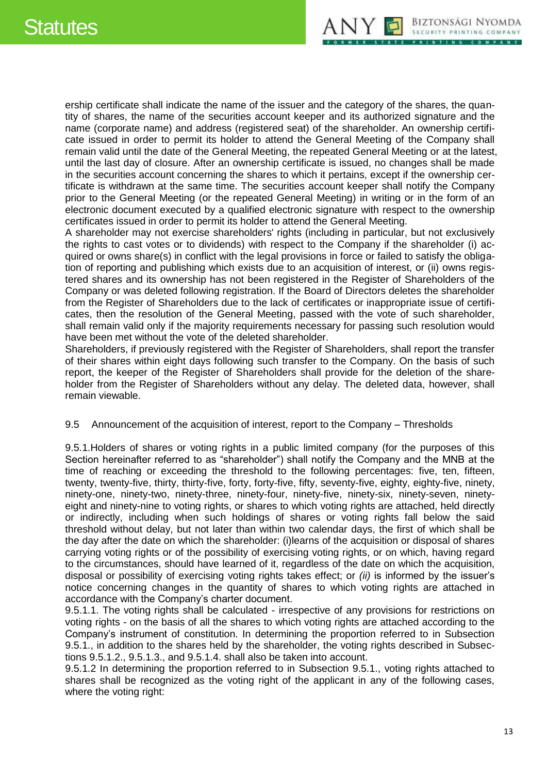

ership certificate shall indicate the name of the issuer and the category of the shares, the quantity of shares, the name of the securities account keeper and its authorized signature and the name (corporate name) and address (registered seat) of the shareholder. An ownership certificate issued in order to permit its holder to attend the General Meeting of the Company shall remain valid until the date of the General Meeting, the repeated General Meeting or at the latest, until the last day of closure. After an ownership certificate is issued, no changes shall be made in the securities account concerning the shares to which it pertains, except if the ownership certificate is withdrawn at the same time. The securities account keeper shall notify the Company prior to the General Meeting (or the repeated General Meeting) in writing or in the form of an electronic document executed by a qualified electronic signature with respect to the ownership certificates issued in order to permit its holder to attend the General Meeting.

A shareholder may not exercise shareholders' rights (including in particular, but not exclusively the rights to cast votes or to dividends) with respect to the Company if the shareholder (i) acquired or owns share(s) in conflict with the legal provisions in force or failed to satisfy the obligation of reporting and publishing which exists due to an acquisition of interest, or (ii) owns registered shares and its ownership has not been registered in the Register of Shareholders of the Company or was deleted following registration. If the Board of Directors deletes the shareholder from the Register of Shareholders due to the lack of certificates or inappropriate issue of certificates, then the resolution of the General Meeting, passed with the vote of such shareholder, shall remain valid only if the majority requirements necessary for passing such resolution would have been met without the vote of the deleted shareholder.

Shareholders, if previously registered with the Register of Shareholders, shall report the transfer of their shares within eight days following such transfer to the Company. On the basis of such report, the keeper of the Register of Shareholders shall provide for the deletion of the shareholder from the Register of Shareholders without any delay. The deleted data, however, shall remain viewable.

#### <span id="page-12-0"></span>9.5 Announcement of the acquisition of interest, report to the Company – Thresholds

9.5.1.Holders of shares or voting rights in a public limited company (for the purposes of this Section hereinafter referred to as "shareholder") shall notify the Company and the MNB at the time of reaching or exceeding the threshold to the following percentages: five, ten, fifteen, twenty, twenty-five, thirty, thirty-five, forty, forty-five, fifty, seventy-five, eighty, eighty-five, ninety, ninety-one, ninety-two, ninety-three, ninety-four, ninety-five, ninety-six, ninety-seven, ninetyeight and ninety-nine to voting rights, or shares to which voting rights are attached, held directly or indirectly, including when such holdings of shares or voting rights fall below the said threshold without delay, but not later than within two calendar days, the first of which shall be the day after the date on which the shareholder: (i)learns of the acquisition or disposal of shares carrying voting rights or of the possibility of exercising voting rights, or on which, having regard to the circumstances, should have learned of it, regardless of the date on which the acquisition, disposal or possibility of exercising voting rights takes effect; or *(ii)* is informed by the issuer's notice concerning changes in the quantity of shares to which voting rights are attached in accordance with the Company's charter document.

9.5.1.1. The voting rights shall be calculated - irrespective of any provisions for restrictions on voting rights - on the basis of all the shares to which voting rights are attached according to the Company's instrument of constitution. In determining the proportion referred to in Subsection 9.5.1., in addition to the shares held by the shareholder, the voting rights described in Subsections 9.5.1.2., 9.5.1.3., and 9.5.1.4. shall also be taken into account.

9.5.1.2 In determining the proportion referred to in Subsection 9.5.1., voting rights attached to shares shall be recognized as the voting right of the applicant in any of the following cases, where the voting right: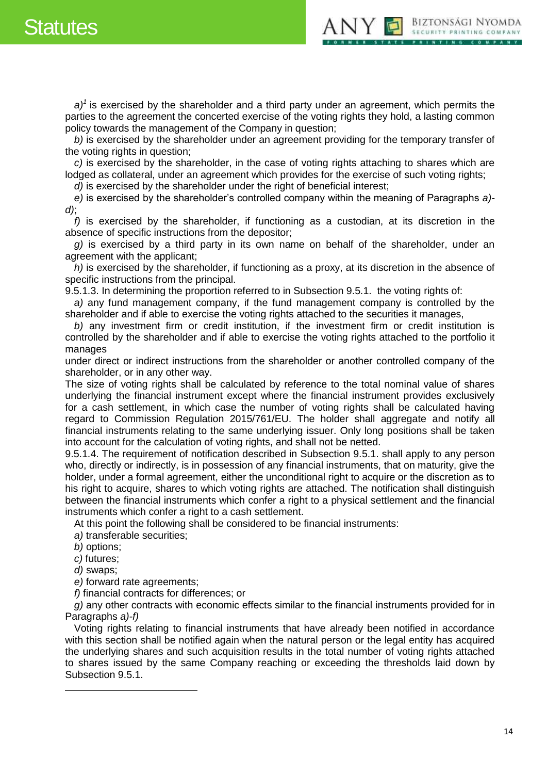# Statutes



*a)<sup>1</sup>* is exercised by the shareholder and a third party under an agreement, which permits the parties to the agreement the concerted exercise of the voting rights they hold, a lasting common policy towards the management of the Company in question;

*b)* is exercised by the shareholder under an agreement providing for the temporary transfer of the voting rights in question;

*c)* is exercised by the shareholder, in the case of voting rights attaching to shares which are lodged as collateral, under an agreement which provides for the exercise of such voting rights;

*d)* is exercised by the shareholder under the right of beneficial interest;

*e)* is exercised by the shareholder's controlled company within the meaning of Paragraphs *a) d)*;

*f)* is exercised by the shareholder, if functioning as a custodian, at its discretion in the absence of specific instructions from the depositor;

*g)* is exercised by a third party in its own name on behalf of the shareholder, under an agreement with the applicant;

*h)* is exercised by the shareholder, if functioning as a proxy, at its discretion in the absence of specific instructions from the principal.

9.5.1.3. In determining the proportion referred to in Subsection 9.5.1. the voting rights of:

*a)* any fund management company, if the fund management company is controlled by the shareholder and if able to exercise the voting rights attached to the securities it manages,

*b)* any investment firm or credit institution, if the investment firm or credit institution is controlled by the shareholder and if able to exercise the voting rights attached to the portfolio it manages

under direct or indirect instructions from the shareholder or another controlled company of the shareholder, or in any other way.

The size of voting rights shall be calculated by reference to the total nominal value of shares underlying the financial instrument except where the financial instrument provides exclusively for a cash settlement, in which case the number of voting rights shall be calculated having regard to Commission Regulation 2015/761/EU. The holder shall aggregate and notify all financial instruments relating to the same underlying issuer. Only long positions shall be taken into account for the calculation of voting rights, and shall not be netted.

9.5.1.4. The requirement of notification described in Subsection 9.5.1. shall apply to any person who, directly or indirectly, is in possession of any financial instruments, that on maturity, give the holder, under a formal agreement, either the unconditional right to acquire or the discretion as to his right to acquire, shares to which voting rights are attached. The notification shall distinguish between the financial instruments which confer a right to a physical settlement and the financial instruments which confer a right to a cash settlement.

At this point the following shall be considered to be financial instruments:

*a)* transferable securities;

*b)* options;

*c)* futures;

*d)* swaps;

 $\overline{a}$ 

*e)* forward rate agreements;

*f)* financial contracts for differences; or

*g)* any other contracts with economic effects similar to the financial instruments provided for in Paragraphs *a)-f)*

Voting rights relating to financial instruments that have already been notified in accordance with this section shall be notified again when the natural person or the legal entity has acquired the underlying shares and such acquisition results in the total number of voting rights attached to shares issued by the same Company reaching or exceeding the thresholds laid down by Subsection 9.5.1.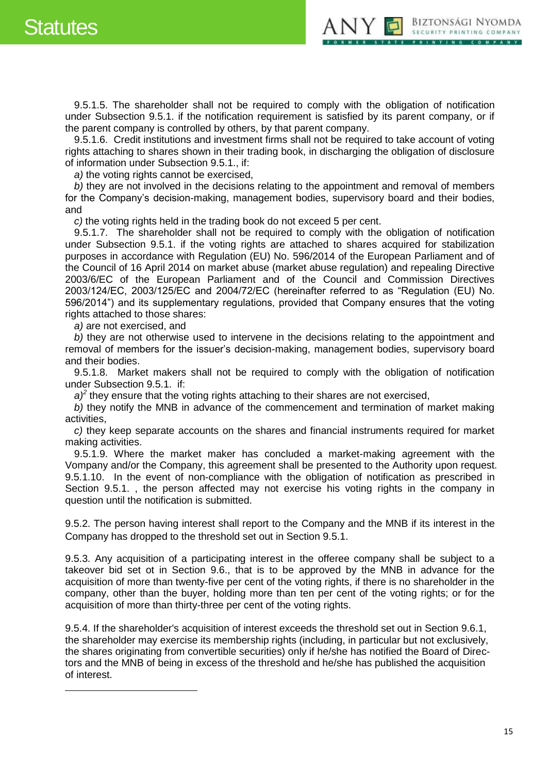$\overline{a}$ 



9.5.1.5. The shareholder shall not be required to comply with the obligation of notification under Subsection 9.5.1. if the notification requirement is satisfied by its parent company, or if the parent company is controlled by others, by that parent company.

9.5.1.6. Credit institutions and investment firms shall not be required to take account of voting rights attaching to shares shown in their trading book, in discharging the obligation of disclosure of information under Subsection 9.5.1., if:

*a)* the voting rights cannot be exercised,

*b)* they are not involved in the decisions relating to the appointment and removal of members for the Company's decision-making, management bodies, supervisory board and their bodies, and

*c)* the voting rights held in the trading book do not exceed 5 per cent.

9.5.1.7. The shareholder shall not be required to comply with the obligation of notification under Subsection 9.5.1. if the voting rights are attached to shares acquired for stabilization purposes in accordance with Regulation (EU) No. 596/2014 of the European Parliament and of the Council of 16 April 2014 on market abuse (market abuse regulation) and repealing Directive 2003/6/EC of the European Parliament and of the Council and Commission Directives 2003/124/EC, 2003/125/EC and 2004/72/EC (hereinafter referred to as "Regulation (EU) No. 596/2014") and its supplementary regulations, provided that Company ensures that the voting rights attached to those shares:

*a)* are not exercised, and

*b)* they are not otherwise used to intervene in the decisions relating to the appointment and removal of members for the issuer's decision-making, management bodies, supervisory board and their bodies.

9.5.1.8. Market makers shall not be required to comply with the obligation of notification under Subsection 9.5.1. if:

 $a$ <sup> $2$ </sup> they ensure that the voting rights attaching to their shares are not exercised,

*b)* they notify the MNB in advance of the commencement and termination of market making activities,

*c)* they keep separate accounts on the shares and financial instruments required for market making activities.

9.5.1.9. Where the market maker has concluded a market-making agreement with the Vompany and/or the Company, this agreement shall be presented to the Authority upon request. 9.5.1.10. In the event of non-compliance with the obligation of notification as prescribed in Section 9.5.1. , the person affected may not exercise his voting rights in the company in question until the notification is submitted.

9.5.2. The person having interest shall report to the Company and the MNB if its interest in the Company has dropped to the threshold set out in Section 9.5.1.

9.5.3. Any acquisition of a participating interest in the offeree company shall be subject to a takeover bid set ot in Section 9.6., that is to be approved by the MNB in advance for the acquisition of more than twenty-five per cent of the voting rights, if there is no shareholder in the company, other than the buyer, holding more than ten per cent of the voting rights; or for the acquisition of more than thirty-three per cent of the voting rights.

9.5.4. If the shareholder's acquisition of interest exceeds the threshold set out in Section 9.6.1, the shareholder may exercise its membership rights (including, in particular but not exclusively, the shares originating from convertible securities) only if he/she has notified the Board of Directors and the MNB of being in excess of the threshold and he/she has published the acquisition of interest.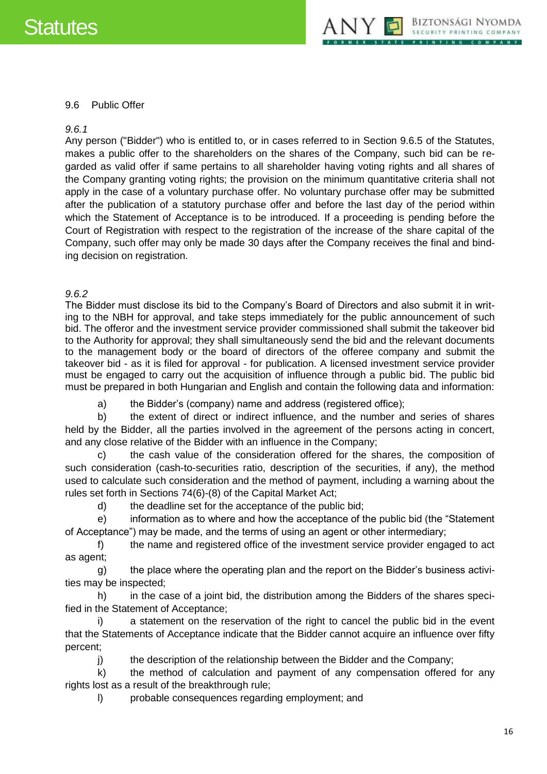

#### <span id="page-15-0"></span>9.6 Public Offer

#### *9.6.1*

Any person ("Bidder") who is entitled to, or in cases referred to in Section 9.6.5 of the Statutes, makes a public offer to the shareholders on the shares of the Company, such bid can be regarded as valid offer if same pertains to all shareholder having voting rights and all shares of the Company granting voting rights; the provision on the minimum quantitative criteria shall not apply in the case of a voluntary purchase offer. No voluntary purchase offer may be submitted after the publication of a statutory purchase offer and before the last day of the period within which the Statement of Acceptance is to be introduced. If a proceeding is pending before the Court of Registration with respect to the registration of the increase of the share capital of the Company, such offer may only be made 30 days after the Company receives the final and binding decision on registration.

### *9.6.2*

The Bidder must disclose its bid to the Company's Board of Directors and also submit it in writing to the NBH for approval, and take steps immediately for the public announcement of such bid. The offeror and the investment service provider commissioned shall submit the takeover bid to the Authority for approval; they shall simultaneously send the bid and the relevant documents to the management body or the board of directors of the offeree company and submit the takeover bid - as it is filed for approval - for publication. A licensed investment service provider must be engaged to carry out the acquisition of influence through a public bid. The public bid must be prepared in both Hungarian and English and contain the following data and information:

a) the Bidder's (company) name and address (registered office);

b) the extent of direct or indirect influence, and the number and series of shares held by the Bidder, all the parties involved in the agreement of the persons acting in concert, and any close relative of the Bidder with an influence in the Company;

c) the cash value of the consideration offered for the shares, the composition of such consideration (cash-to-securities ratio, description of the securities, if any), the method used to calculate such consideration and the method of payment, including a warning about the rules set forth in Sections 74(6)-(8) of the Capital Market Act;

d) the deadline set for the acceptance of the public bid;

e) information as to where and how the acceptance of the public bid (the "Statement of Acceptance") may be made, and the terms of using an agent or other intermediary;

f) the name and registered office of the investment service provider engaged to act as agent;

g) the place where the operating plan and the report on the Bidder's business activities may be inspected;

h) in the case of a joint bid, the distribution among the Bidders of the shares specified in the Statement of Acceptance;

i) a statement on the reservation of the right to cancel the public bid in the event that the Statements of Acceptance indicate that the Bidder cannot acquire an influence over fifty percent;

j) the description of the relationship between the Bidder and the Company;

k) the method of calculation and payment of any compensation offered for any rights lost as a result of the breakthrough rule;

l) probable consequences regarding employment; and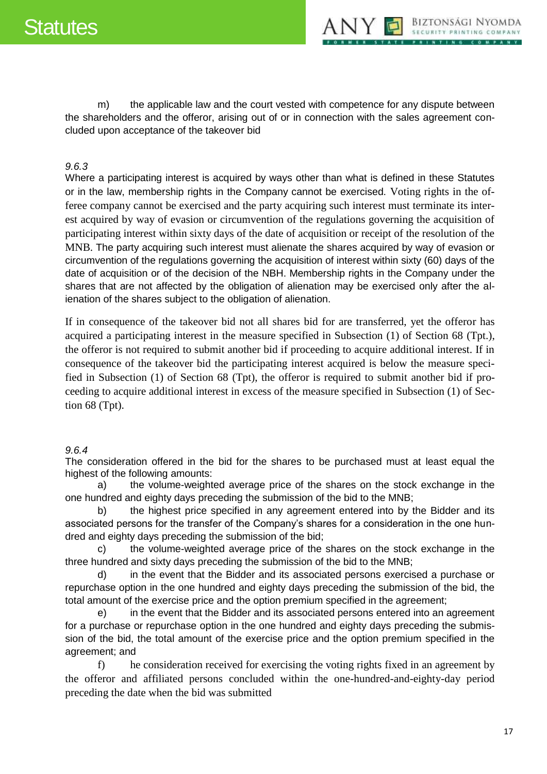

m) the applicable law and the court vested with competence for any dispute between the shareholders and the offeror, arising out of or in connection with the sales agreement concluded upon acceptance of the takeover bid

# *9.6.3*

Where a participating interest is acquired by ways other than what is defined in these Statutes or in the law, membership rights in the Company cannot be exercised. Voting rights in the offeree company cannot be exercised and the party acquiring such interest must terminate its interest acquired by way of evasion or circumvention of the regulations governing the acquisition of participating interest within sixty days of the date of acquisition or receipt of the resolution of the MNB. The party acquiring such interest must alienate the shares acquired by way of evasion or circumvention of the regulations governing the acquisition of interest within sixty (60) days of the date of acquisition or of the decision of the NBH. Membership rights in the Company under the shares that are not affected by the obligation of alienation may be exercised only after the alienation of the shares subject to the obligation of alienation.

If in consequence of the takeover bid not all shares bid for are transferred, yet the offeror has acquired a participating interest in the measure specified in Subsection (1) of Section 68 (Tpt.), the offeror is not required to submit another bid if proceeding to acquire additional interest. If in consequence of the takeover bid the participating interest acquired is below the measure specified in Subsection (1) of Section 68 (Tpt), the offeror is required to submit another bid if proceeding to acquire additional interest in excess of the measure specified in Subsection (1) of Section 68 (Tpt).

# *9.6.4*

The consideration offered in the bid for the shares to be purchased must at least equal the highest of the following amounts:

a) the volume-weighted average price of the shares on the stock exchange in the one hundred and eighty days preceding the submission of the bid to the MNB;

b) the highest price specified in any agreement entered into by the Bidder and its associated persons for the transfer of the Company's shares for a consideration in the one hundred and eighty days preceding the submission of the bid;

c) the volume-weighted average price of the shares on the stock exchange in the three hundred and sixty days preceding the submission of the bid to the MNB;

d) in the event that the Bidder and its associated persons exercised a purchase or repurchase option in the one hundred and eighty days preceding the submission of the bid, the total amount of the exercise price and the option premium specified in the agreement;

e) in the event that the Bidder and its associated persons entered into an agreement for a purchase or repurchase option in the one hundred and eighty days preceding the submission of the bid, the total amount of the exercise price and the option premium specified in the agreement; and

f) he consideration received for exercising the voting rights fixed in an agreement by the offeror and affiliated persons concluded within the one-hundred-and-eighty-day period preceding the date when the bid was submitted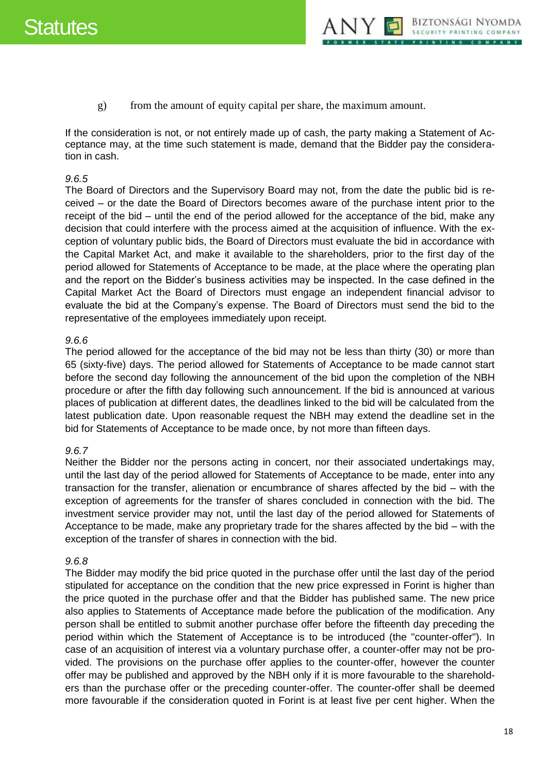

g) from the amount of equity capital per share, the maximum amount.

If the consideration is not, or not entirely made up of cash, the party making a Statement of Acceptance may, at the time such statement is made, demand that the Bidder pay the consideration in cash.

#### *9.6.5*

The Board of Directors and the Supervisory Board may not, from the date the public bid is received – or the date the Board of Directors becomes aware of the purchase intent prior to the receipt of the bid – until the end of the period allowed for the acceptance of the bid, make any decision that could interfere with the process aimed at the acquisition of influence. With the exception of voluntary public bids, the Board of Directors must evaluate the bid in accordance with the Capital Market Act, and make it available to the shareholders, prior to the first day of the period allowed for Statements of Acceptance to be made, at the place where the operating plan and the report on the Bidder's business activities may be inspected. In the case defined in the Capital Market Act the Board of Directors must engage an independent financial advisor to evaluate the bid at the Company's expense. The Board of Directors must send the bid to the representative of the employees immediately upon receipt.

#### *9.6.6*

The period allowed for the acceptance of the bid may not be less than thirty (30) or more than 65 (sixty-five) days. The period allowed for Statements of Acceptance to be made cannot start before the second day following the announcement of the bid upon the completion of the NBH procedure or after the fifth day following such announcement. If the bid is announced at various places of publication at different dates, the deadlines linked to the bid will be calculated from the latest publication date. Upon reasonable request the NBH may extend the deadline set in the bid for Statements of Acceptance to be made once, by not more than fifteen days.

#### *9.6.7*

Neither the Bidder nor the persons acting in concert, nor their associated undertakings may, until the last day of the period allowed for Statements of Acceptance to be made, enter into any transaction for the transfer, alienation or encumbrance of shares affected by the bid – with the exception of agreements for the transfer of shares concluded in connection with the bid. The investment service provider may not, until the last day of the period allowed for Statements of Acceptance to be made, make any proprietary trade for the shares affected by the bid – with the exception of the transfer of shares in connection with the bid.

#### *9.6.8*

The Bidder may modify the bid price quoted in the purchase offer until the last day of the period stipulated for acceptance on the condition that the new price expressed in Forint is higher than the price quoted in the purchase offer and that the Bidder has published same. The new price also applies to Statements of Acceptance made before the publication of the modification. Any person shall be entitled to submit another purchase offer before the fifteenth day preceding the period within which the Statement of Acceptance is to be introduced (the "counter-offer"). In case of an acquisition of interest via a voluntary purchase offer, a counter-offer may not be provided. The provisions on the purchase offer applies to the counter-offer, however the counter offer may be published and approved by the NBH only if it is more favourable to the shareholders than the purchase offer or the preceding counter-offer. The counter-offer shall be deemed more favourable if the consideration quoted in Forint is at least five per cent higher. When the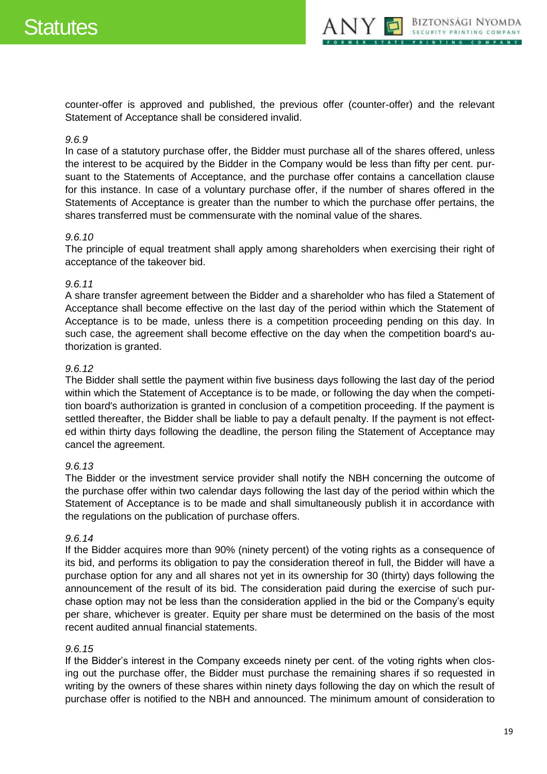

counter-offer is approved and published, the previous offer (counter-offer) and the relevant Statement of Acceptance shall be considered invalid.

#### *9.6.9*

In case of a statutory purchase offer, the Bidder must purchase all of the shares offered, unless the interest to be acquired by the Bidder in the Company would be less than fifty per cent. pursuant to the Statements of Acceptance, and the purchase offer contains a cancellation clause for this instance. In case of a voluntary purchase offer, if the number of shares offered in the Statements of Acceptance is greater than the number to which the purchase offer pertains, the shares transferred must be commensurate with the nominal value of the shares.

### *9.6.10*

The principle of equal treatment shall apply among shareholders when exercising their right of acceptance of the takeover bid.

### *9.6.11*

A share transfer agreement between the Bidder and a shareholder who has filed a Statement of Acceptance shall become effective on the last day of the period within which the Statement of Acceptance is to be made, unless there is a competition proceeding pending on this day. In such case, the agreement shall become effective on the day when the competition board's authorization is granted.

### *9.6.12*

The Bidder shall settle the payment within five business days following the last day of the period within which the Statement of Acceptance is to be made, or following the day when the competition board's authorization is granted in conclusion of a competition proceeding. If the payment is settled thereafter, the Bidder shall be liable to pay a default penalty. If the payment is not effected within thirty days following the deadline, the person filing the Statement of Acceptance may cancel the agreement.

#### *9.6.13*

The Bidder or the investment service provider shall notify the NBH concerning the outcome of the purchase offer within two calendar days following the last day of the period within which the Statement of Acceptance is to be made and shall simultaneously publish it in accordance with the regulations on the publication of purchase offers.

#### *9.6.14*

If the Bidder acquires more than 90% (ninety percent) of the voting rights as a consequence of its bid, and performs its obligation to pay the consideration thereof in full, the Bidder will have a purchase option for any and all shares not yet in its ownership for 30 (thirty) days following the announcement of the result of its bid. The consideration paid during the exercise of such purchase option may not be less than the consideration applied in the bid or the Company's equity per share, whichever is greater. Equity per share must be determined on the basis of the most recent audited annual financial statements.

### *9.6.15*

If the Bidder's interest in the Company exceeds ninety per cent. of the voting rights when closing out the purchase offer, the Bidder must purchase the remaining shares if so requested in writing by the owners of these shares within ninety days following the day on which the result of purchase offer is notified to the NBH and announced. The minimum amount of consideration to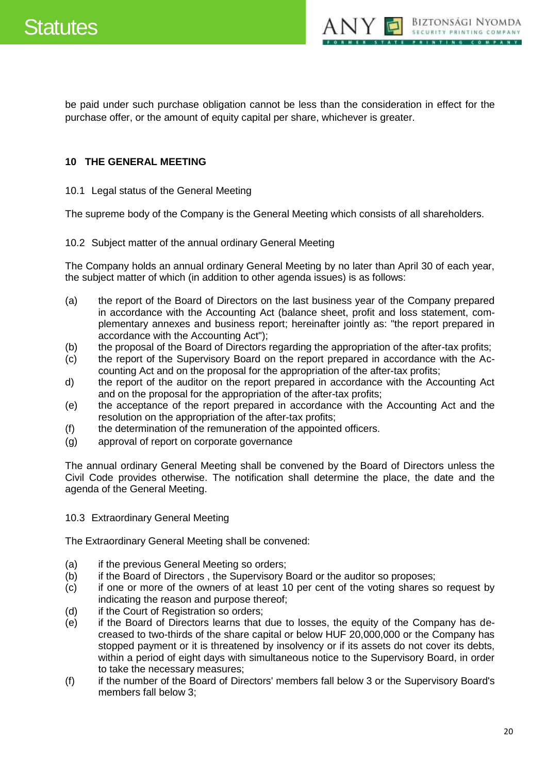

be paid under such purchase obligation cannot be less than the consideration in effect for the purchase offer, or the amount of equity capital per share, whichever is greater.

# <span id="page-19-0"></span>**10 THE GENERAL MEETING**

#### <span id="page-19-1"></span>10.1 Legal status of the General Meeting

The supreme body of the Company is the General Meeting which consists of all shareholders.

<span id="page-19-2"></span>10.2 Subject matter of the annual ordinary General Meeting

The Company holds an annual ordinary General Meeting by no later than April 30 of each year, the subject matter of which (in addition to other agenda issues) is as follows:

- (a) the report of the Board of Directors on the last business year of the Company prepared in accordance with the Accounting Act (balance sheet, profit and loss statement, complementary annexes and business report; hereinafter jointly as: "the report prepared in accordance with the Accounting Act");
- (b) the proposal of the Board of Directors regarding the appropriation of the after-tax profits;
- (c) the report of the Supervisory Board on the report prepared in accordance with the Accounting Act and on the proposal for the appropriation of the after-tax profits;
- d) the report of the auditor on the report prepared in accordance with the Accounting Act and on the proposal for the appropriation of the after-tax profits;
- (e) the acceptance of the report prepared in accordance with the Accounting Act and the resolution on the appropriation of the after-tax profits;
- (f) the determination of the remuneration of the appointed officers.
- (g) approval of report on corporate governance

The annual ordinary General Meeting shall be convened by the Board of Directors unless the Civil Code provides otherwise. The notification shall determine the place, the date and the agenda of the General Meeting.

#### <span id="page-19-3"></span>10.3 Extraordinary General Meeting

The Extraordinary General Meeting shall be convened:

- (a) if the previous General Meeting so orders;
- (b) if the Board of Directors , the Supervisory Board or the auditor so proposes;
- (c) if one or more of the owners of at least 10 per cent of the voting shares so request by indicating the reason and purpose thereof;
- (d) if the Court of Registration so orders;
- (e) if the Board of Directors learns that due to losses, the equity of the Company has decreased to two-thirds of the share capital or below HUF 20,000,000 or the Company has stopped payment or it is threatened by insolvency or if its assets do not cover its debts, within a period of eight days with simultaneous notice to the Supervisory Board, in order to take the necessary measures;
- (f) if the number of the Board of Directors' members fall below 3 or the Supervisory Board's members fall below 3;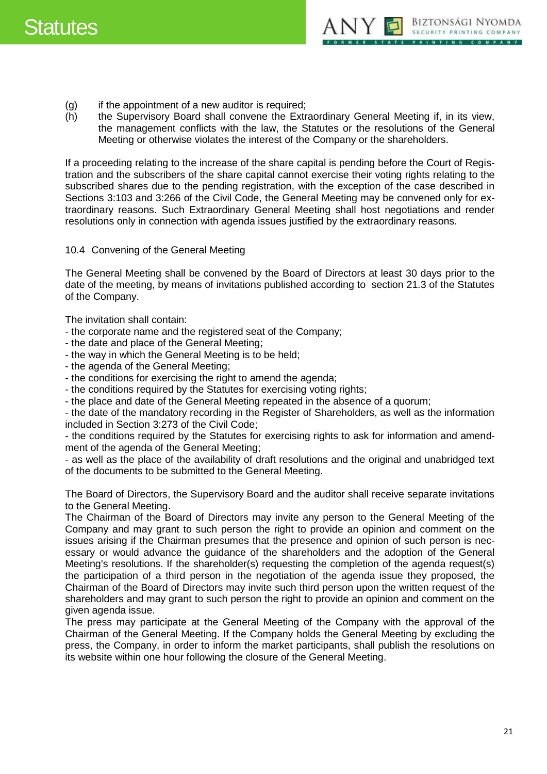

- (g) if the appointment of a new auditor is required;
- (h) the Supervisory Board shall convene the Extraordinary General Meeting if, in its view, the management conflicts with the law, the Statutes or the resolutions of the General Meeting or otherwise violates the interest of the Company or the shareholders.

If a proceeding relating to the increase of the share capital is pending before the Court of Registration and the subscribers of the share capital cannot exercise their voting rights relating to the subscribed shares due to the pending registration, with the exception of the case described in Sections 3:103 and 3:266 of the Civil Code, the General Meeting may be convened only for extraordinary reasons. Such Extraordinary General Meeting shall host negotiations and render resolutions only in connection with agenda issues justified by the extraordinary reasons.

<span id="page-20-0"></span>10.4 Convening of the General Meeting

The General Meeting shall be convened by the Board of Directors at least 30 days prior to the date of the meeting, by means of invitations published according to section 21.3 of the Statutes of the Company.

The invitation shall contain:

- the corporate name and the registered seat of the Company;
- the date and place of the General Meeting;
- the way in which the General Meeting is to be held;
- the agenda of the General Meeting;
- the conditions for exercising the right to amend the agenda;
- the conditions required by the Statutes for exercising voting rights;
- the place and date of the General Meeting repeated in the absence of a quorum;

- the date of the mandatory recording in the Register of Shareholders, as well as the information included in Section 3:273 of the Civil Code;

- the conditions required by the Statutes for exercising rights to ask for information and amendment of the agenda of the General Meeting;

- as well as the place of the availability of draft resolutions and the original and unabridged text of the documents to be submitted to the General Meeting.

The Board of Directors, the Supervisory Board and the auditor shall receive separate invitations to the General Meeting.

The Chairman of the Board of Directors may invite any person to the General Meeting of the Company and may grant to such person the right to provide an opinion and comment on the issues arising if the Chairman presumes that the presence and opinion of such person is necessary or would advance the guidance of the shareholders and the adoption of the General Meeting's resolutions. If the shareholder(s) requesting the completion of the agenda request(s) the participation of a third person in the negotiation of the agenda issue they proposed, the Chairman of the Board of Directors may invite such third person upon the written request of the shareholders and may grant to such person the right to provide an opinion and comment on the given agenda issue.

The press may participate at the General Meeting of the Company with the approval of the Chairman of the General Meeting. If the Company holds the General Meeting by excluding the press, the Company, in order to inform the market participants, shall publish the resolutions on its website within one hour following the closure of the General Meeting.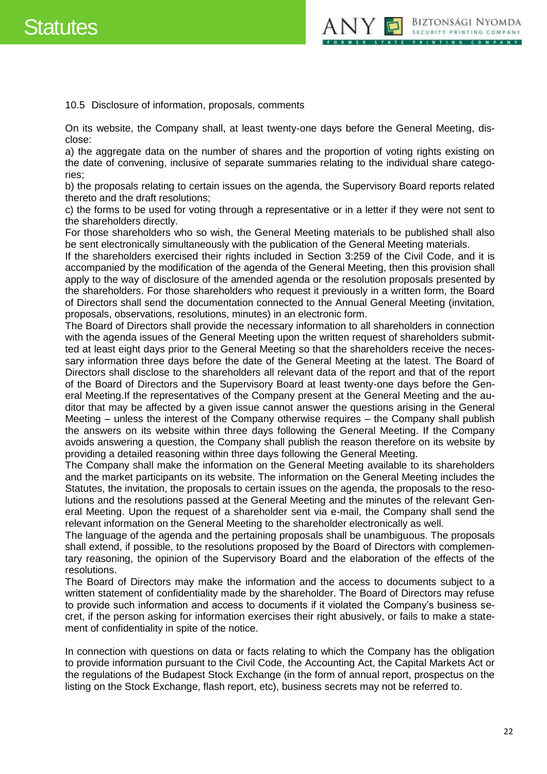

<span id="page-21-0"></span>10.5 Disclosure of information, proposals, comments

On its website, the Company shall, at least twenty-one days before the General Meeting, disclose:

a) the aggregate data on the number of shares and the proportion of voting rights existing on the date of convening, inclusive of separate summaries relating to the individual share categories;

b) the proposals relating to certain issues on the agenda, the Supervisory Board reports related thereto and the draft resolutions;

c) the forms to be used for voting through a representative or in a letter if they were not sent to the shareholders directly.

For those shareholders who so wish, the General Meeting materials to be published shall also be sent electronically simultaneously with the publication of the General Meeting materials.

If the shareholders exercised their rights included in Section 3:259 of the Civil Code, and it is accompanied by the modification of the agenda of the General Meeting, then this provision shall apply to the way of disclosure of the amended agenda or the resolution proposals presented by the shareholders. For those shareholders who request it previously in a written form, the Board of Directors shall send the documentation connected to the Annual General Meeting (invitation, proposals, observations, resolutions, minutes) in an electronic form.

The Board of Directors shall provide the necessary information to all shareholders in connection with the agenda issues of the General Meeting upon the written request of shareholders submitted at least eight days prior to the General Meeting so that the shareholders receive the necessary information three days before the date of the General Meeting at the latest. The Board of Directors shall disclose to the shareholders all relevant data of the report and that of the report of the Board of Directors and the Supervisory Board at least twenty-one days before the General Meeting.If the representatives of the Company present at the General Meeting and the auditor that may be affected by a given issue cannot answer the questions arising in the General Meeting – unless the interest of the Company otherwise requires – the Company shall publish the answers on its website within three days following the General Meeting. If the Company avoids answering a question, the Company shall publish the reason therefore on its website by providing a detailed reasoning within three days following the General Meeting.

The Company shall make the information on the General Meeting available to its shareholders and the market participants on its website. The information on the General Meeting includes the Statutes, the invitation, the proposals to certain issues on the agenda, the proposals to the resolutions and the resolutions passed at the General Meeting and the minutes of the relevant General Meeting. Upon the request of a shareholder sent via e-mail, the Company shall send the relevant information on the General Meeting to the shareholder electronically as well.

The language of the agenda and the pertaining proposals shall be unambiguous. The proposals shall extend, if possible, to the resolutions proposed by the Board of Directors with complementary reasoning, the opinion of the Supervisory Board and the elaboration of the effects of the resolutions.

The Board of Directors may make the information and the access to documents subject to a written statement of confidentiality made by the shareholder. The Board of Directors may refuse to provide such information and access to documents if it violated the Company's business secret, if the person asking for information exercises their right abusively, or fails to make a statement of confidentiality in spite of the notice.

In connection with questions on data or facts relating to which the Company has the obligation to provide information pursuant to the Civil Code, the Accounting Act, the Capital Markets Act or the regulations of the Budapest Stock Exchange (in the form of annual report, prospectus on the listing on the Stock Exchange, flash report, etc), business secrets may not be referred to.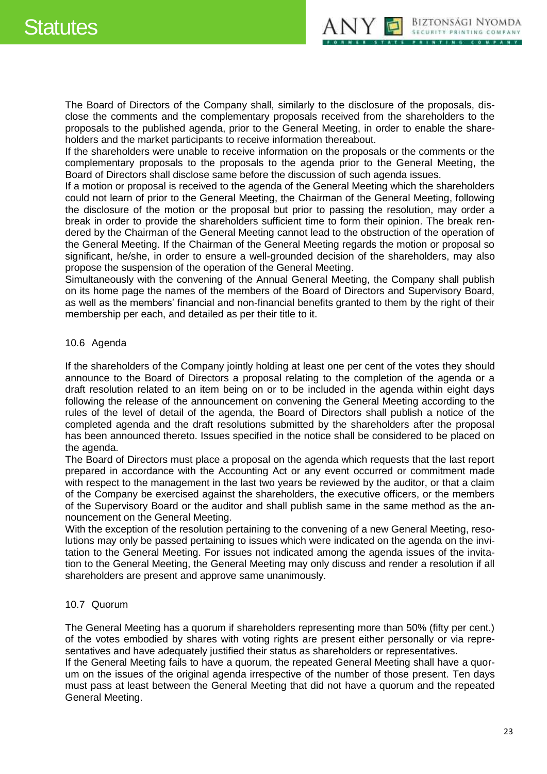

The Board of Directors of the Company shall, similarly to the disclosure of the proposals, disclose the comments and the complementary proposals received from the shareholders to the proposals to the published agenda, prior to the General Meeting, in order to enable the shareholders and the market participants to receive information thereabout.

If the shareholders were unable to receive information on the proposals or the comments or the complementary proposals to the proposals to the agenda prior to the General Meeting, the Board of Directors shall disclose same before the discussion of such agenda issues.

If a motion or proposal is received to the agenda of the General Meeting which the shareholders could not learn of prior to the General Meeting, the Chairman of the General Meeting, following the disclosure of the motion or the proposal but prior to passing the resolution, may order a break in order to provide the shareholders sufficient time to form their opinion. The break rendered by the Chairman of the General Meeting cannot lead to the obstruction of the operation of the General Meeting. If the Chairman of the General Meeting regards the motion or proposal so significant, he/she, in order to ensure a well-grounded decision of the shareholders, may also propose the suspension of the operation of the General Meeting.

Simultaneously with the convening of the Annual General Meeting, the Company shall publish on its home page the names of the members of the Board of Directors and Supervisory Board, as well as the members' financial and non-financial benefits granted to them by the right of their membership per each, and detailed as per their title to it.

# <span id="page-22-0"></span>10.6 Agenda

If the shareholders of the Company jointly holding at least one per cent of the votes they should announce to the Board of Directors a proposal relating to the completion of the agenda or a draft resolution related to an item being on or to be included in the agenda within eight days following the release of the announcement on convening the General Meeting according to the rules of the level of detail of the agenda, the Board of Directors shall publish a notice of the completed agenda and the draft resolutions submitted by the shareholders after the proposal has been announced thereto. Issues specified in the notice shall be considered to be placed on the agenda.

The Board of Directors must place a proposal on the agenda which requests that the last report prepared in accordance with the Accounting Act or any event occurred or commitment made with respect to the management in the last two years be reviewed by the auditor, or that a claim of the Company be exercised against the shareholders, the executive officers, or the members of the Supervisory Board or the auditor and shall publish same in the same method as the announcement on the General Meeting.

With the exception of the resolution pertaining to the convening of a new General Meeting, resolutions may only be passed pertaining to issues which were indicated on the agenda on the invitation to the General Meeting. For issues not indicated among the agenda issues of the invitation to the General Meeting, the General Meeting may only discuss and render a resolution if all shareholders are present and approve same unanimously.

#### <span id="page-22-1"></span>10.7 Quorum

General Meeting.

The General Meeting has a quorum if shareholders representing more than 50% (fifty per cent.) of the votes embodied by shares with voting rights are present either personally or via representatives and have adequately justified their status as shareholders or representatives. If the General Meeting fails to have a quorum, the repeated General Meeting shall have a quorum on the issues of the original agenda irrespective of the number of those present. Ten days must pass at least between the General Meeting that did not have a quorum and the repeated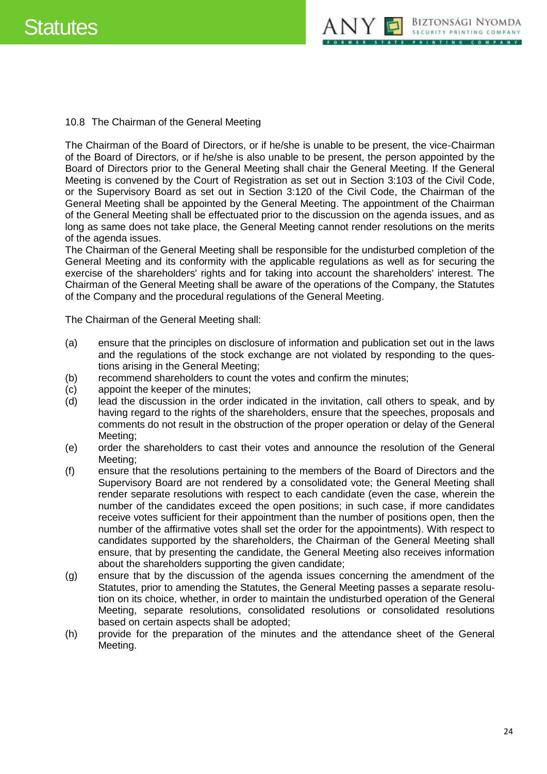

<span id="page-23-0"></span>10.8 The Chairman of the General Meeting

The Chairman of the Board of Directors, or if he/she is unable to be present, the vice-Chairman of the Board of Directors, or if he/she is also unable to be present, the person appointed by the Board of Directors prior to the General Meeting shall chair the General Meeting. If the General Meeting is convened by the Court of Registration as set out in Section 3:103 of the Civil Code, or the Supervisory Board as set out in Section 3:120 of the Civil Code, the Chairman of the General Meeting shall be appointed by the General Meeting. The appointment of the Chairman of the General Meeting shall be effectuated prior to the discussion on the agenda issues, and as long as same does not take place, the General Meeting cannot render resolutions on the merits of the agenda issues.

The Chairman of the General Meeting shall be responsible for the undisturbed completion of the General Meeting and its conformity with the applicable regulations as well as for securing the exercise of the shareholders' rights and for taking into account the shareholders' interest. The Chairman of the General Meeting shall be aware of the operations of the Company, the Statutes of the Company and the procedural regulations of the General Meeting.

The Chairman of the General Meeting shall:

- (a) ensure that the principles on disclosure of information and publication set out in the laws and the regulations of the stock exchange are not violated by responding to the questions arising in the General Meeting;
- (b) recommend shareholders to count the votes and confirm the minutes;
- (c) appoint the keeper of the minutes;
- (d) lead the discussion in the order indicated in the invitation, call others to speak, and by having regard to the rights of the shareholders, ensure that the speeches, proposals and comments do not result in the obstruction of the proper operation or delay of the General Meeting;
- (e) order the shareholders to cast their votes and announce the resolution of the General Meeting;
- (f) ensure that the resolutions pertaining to the members of the Board of Directors and the Supervisory Board are not rendered by a consolidated vote; the General Meeting shall render separate resolutions with respect to each candidate (even the case, wherein the number of the candidates exceed the open positions; in such case, if more candidates receive votes sufficient for their appointment than the number of positions open, then the number of the affirmative votes shall set the order for the appointments). With respect to candidates supported by the shareholders, the Chairman of the General Meeting shall ensure, that by presenting the candidate, the General Meeting also receives information about the shareholders supporting the given candidate;
- (g) ensure that by the discussion of the agenda issues concerning the amendment of the Statutes, prior to amending the Statutes, the General Meeting passes a separate resolution on its choice, whether, in order to maintain the undisturbed operation of the General Meeting, separate resolutions, consolidated resolutions or consolidated resolutions based on certain aspects shall be adopted;
- (h) provide for the preparation of the minutes and the attendance sheet of the General Meeting.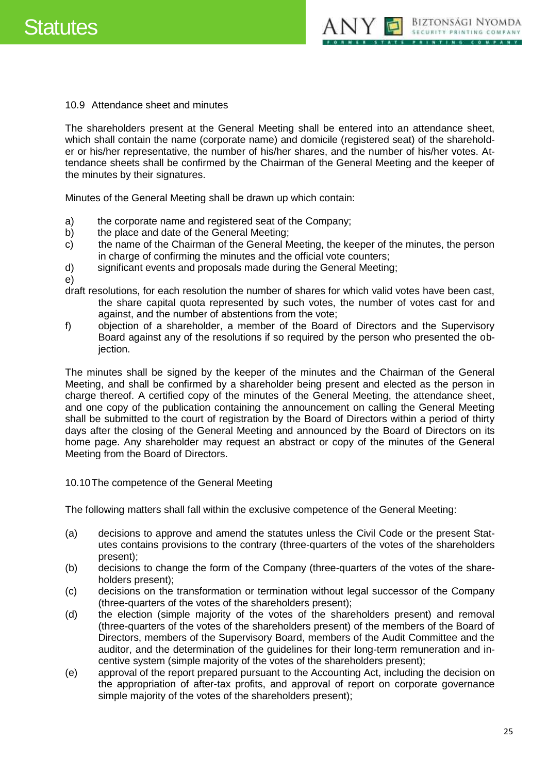

<span id="page-24-0"></span>10.9 Attendance sheet and minutes

The shareholders present at the General Meeting shall be entered into an attendance sheet, which shall contain the name (corporate name) and domicile (registered seat) of the shareholder or his/her representative, the number of his/her shares, and the number of his/her votes. Attendance sheets shall be confirmed by the Chairman of the General Meeting and the keeper of the minutes by their signatures.

Minutes of the General Meeting shall be drawn up which contain:

- a) the corporate name and registered seat of the Company;
- b) the place and date of the General Meeting;
- c) the name of the Chairman of the General Meeting, the keeper of the minutes, the person in charge of confirming the minutes and the official vote counters;
- d) significant events and proposals made during the General Meeting;
- e)
- draft resolutions, for each resolution the number of shares for which valid votes have been cast, the share capital quota represented by such votes, the number of votes cast for and against, and the number of abstentions from the vote;
- f) objection of a shareholder, a member of the Board of Directors and the Supervisory Board against any of the resolutions if so required by the person who presented the objection.

The minutes shall be signed by the keeper of the minutes and the Chairman of the General Meeting, and shall be confirmed by a shareholder being present and elected as the person in charge thereof. A certified copy of the minutes of the General Meeting, the attendance sheet, and one copy of the publication containing the announcement on calling the General Meeting shall be submitted to the court of registration by the Board of Directors within a period of thirty days after the closing of the General Meeting and announced by the Board of Directors on its home page. Any shareholder may request an abstract or copy of the minutes of the General Meeting from the Board of Directors.

<span id="page-24-1"></span>10.10The competence of the General Meeting

The following matters shall fall within the exclusive competence of the General Meeting:

- (a) decisions to approve and amend the statutes unless the Civil Code or the present Statutes contains provisions to the contrary (three-quarters of the votes of the shareholders present);
- (b) decisions to change the form of the Company (three-quarters of the votes of the shareholders present);
- (c) decisions on the transformation or termination without legal successor of the Company (three-quarters of the votes of the shareholders present);
- (d) the election (simple majority of the votes of the shareholders present) and removal (three-quarters of the votes of the shareholders present) of the members of the Board of Directors, members of the Supervisory Board, members of the Audit Committee and the auditor, and the determination of the guidelines for their long-term remuneration and incentive system (simple majority of the votes of the shareholders present);
- (e) approval of the report prepared pursuant to the Accounting Act, including the decision on the appropriation of after-tax profits, and approval of report on corporate governance simple majority of the votes of the shareholders present);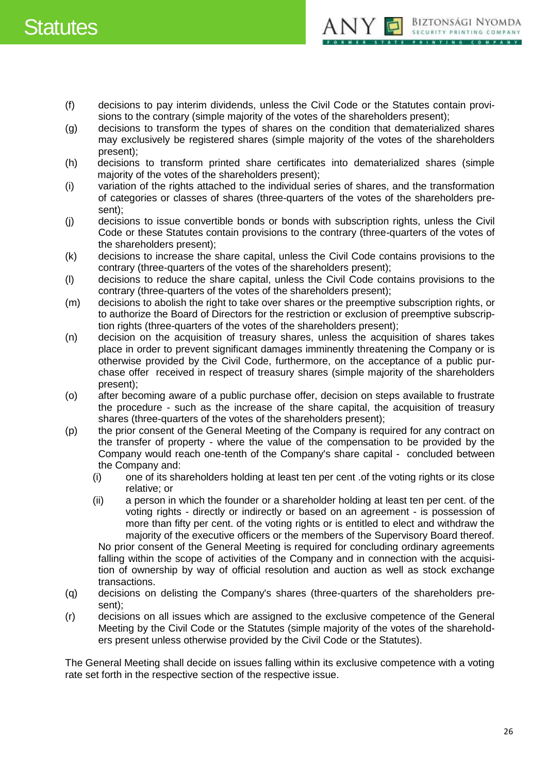

- (f) decisions to pay interim dividends, unless the Civil Code or the Statutes contain provisions to the contrary (simple majority of the votes of the shareholders present);
- (g) decisions to transform the types of shares on the condition that dematerialized shares may exclusively be registered shares (simple majority of the votes of the shareholders present);
- (h) decisions to transform printed share certificates into dematerialized shares (simple majority of the votes of the shareholders present);
- (i) variation of the rights attached to the individual series of shares, and the transformation of categories or classes of shares (three-quarters of the votes of the shareholders present);
- (j) decisions to issue convertible bonds or bonds with subscription rights, unless the Civil Code or these Statutes contain provisions to the contrary (three-quarters of the votes of the shareholders present);
- (k) decisions to increase the share capital, unless the Civil Code contains provisions to the contrary (three-quarters of the votes of the shareholders present);
- (l) decisions to reduce the share capital, unless the Civil Code contains provisions to the contrary (three-quarters of the votes of the shareholders present);
- (m) decisions to abolish the right to take over shares or the preemptive subscription rights, or to authorize the Board of Directors for the restriction or exclusion of preemptive subscription rights (three-quarters of the votes of the shareholders present);
- (n) decision on the acquisition of treasury shares, unless the acquisition of shares takes place in order to prevent significant damages imminently threatening the Company or is otherwise provided by the Civil Code, furthermore, on the acceptance of a public purchase offer received in respect of treasury shares (simple majority of the shareholders present);
- (o) after becoming aware of a public purchase offer, decision on steps available to frustrate the procedure - such as the increase of the share capital, the acquisition of treasury shares (three-quarters of the votes of the shareholders present);
- (p) the prior consent of the General Meeting of the Company is required for any contract on the transfer of property - where the value of the compensation to be provided by the Company would reach one-tenth of the Company's share capital - concluded between the Company and:
	- (i) one of its shareholders holding at least ten per cent .of the voting rights or its close relative; or
	- (ii) a person in which the founder or a shareholder holding at least ten per cent. of the voting rights - directly or indirectly or based on an agreement - is possession of more than fifty per cent. of the voting rights or is entitled to elect and withdraw the majority of the executive officers or the members of the Supervisory Board thereof. No prior consent of the General Meeting is required for concluding ordinary agreements falling within the scope of activities of the Company and in connection with the acquisition of ownership by way of official resolution and auction as well as stock exchange transactions.
- (q) decisions on delisting the Company's shares (three-quarters of the shareholders present);
- (r) decisions on all issues which are assigned to the exclusive competence of the General Meeting by the Civil Code or the Statutes (simple majority of the votes of the shareholders present unless otherwise provided by the Civil Code or the Statutes).

The General Meeting shall decide on issues falling within its exclusive competence with a voting rate set forth in the respective section of the respective issue.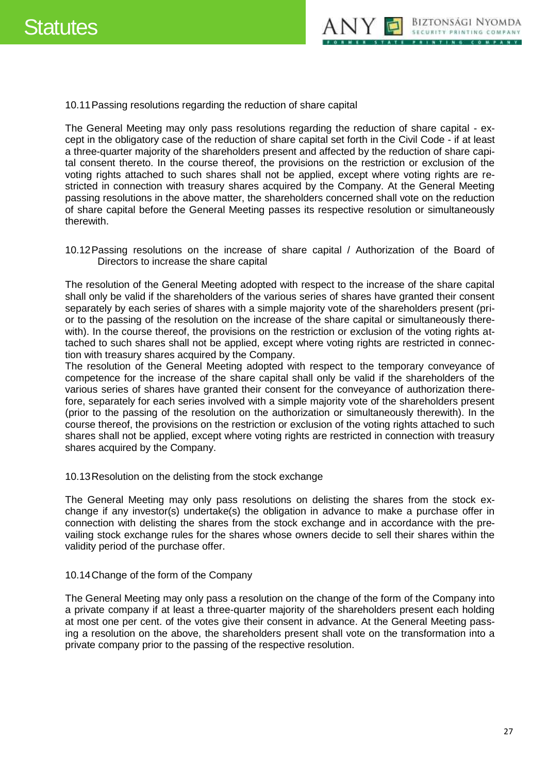

<span id="page-26-0"></span>10.11Passing resolutions regarding the reduction of share capital

The General Meeting may only pass resolutions regarding the reduction of share capital - except in the obligatory case of the reduction of share capital set forth in the Civil Code - if at least a three-quarter majority of the shareholders present and affected by the reduction of share capital consent thereto. In the course thereof, the provisions on the restriction or exclusion of the voting rights attached to such shares shall not be applied, except where voting rights are restricted in connection with treasury shares acquired by the Company. At the General Meeting passing resolutions in the above matter, the shareholders concerned shall vote on the reduction of share capital before the General Meeting passes its respective resolution or simultaneously therewith.

<span id="page-26-1"></span>10.12Passing resolutions on the increase of share capital / Authorization of the Board of Directors to increase the share capital

The resolution of the General Meeting adopted with respect to the increase of the share capital shall only be valid if the shareholders of the various series of shares have granted their consent separately by each series of shares with a simple majority vote of the shareholders present (prior to the passing of the resolution on the increase of the share capital or simultaneously therewith). In the course thereof, the provisions on the restriction or exclusion of the voting rights attached to such shares shall not be applied, except where voting rights are restricted in connection with treasury shares acquired by the Company.

The resolution of the General Meeting adopted with respect to the temporary conveyance of competence for the increase of the share capital shall only be valid if the shareholders of the various series of shares have granted their consent for the conveyance of authorization therefore, separately for each series involved with a simple majority vote of the shareholders present (prior to the passing of the resolution on the authorization or simultaneously therewith). In the course thereof, the provisions on the restriction or exclusion of the voting rights attached to such shares shall not be applied, except where voting rights are restricted in connection with treasury shares acquired by the Company.

#### <span id="page-26-2"></span>10.13Resolution on the delisting from the stock exchange

The General Meeting may only pass resolutions on delisting the shares from the stock exchange if any investor(s) undertake(s) the obligation in advance to make a purchase offer in connection with delisting the shares from the stock exchange and in accordance with the prevailing stock exchange rules for the shares whose owners decide to sell their shares within the validity period of the purchase offer.

#### <span id="page-26-3"></span>10.14Change of the form of the Company

The General Meeting may only pass a resolution on the change of the form of the Company into a private company if at least a three-quarter majority of the shareholders present each holding at most one per cent. of the votes give their consent in advance. At the General Meeting passing a resolution on the above, the shareholders present shall vote on the transformation into a private company prior to the passing of the respective resolution.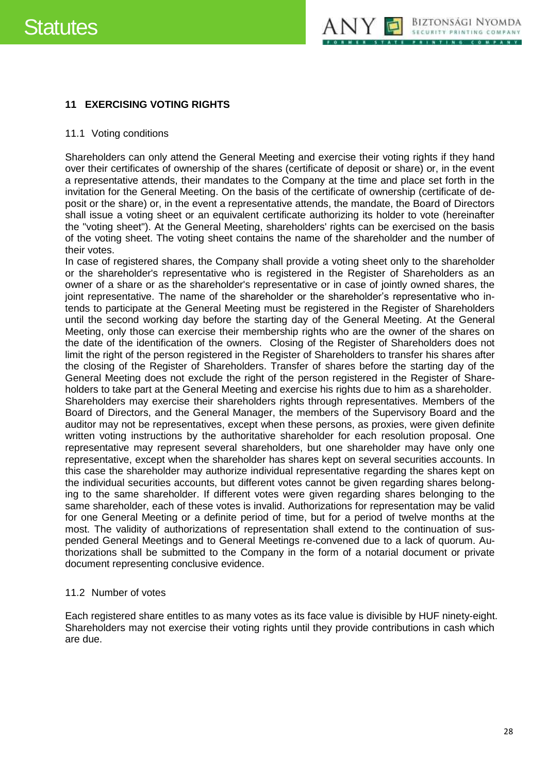

# <span id="page-27-0"></span>**11 EXERCISING VOTING RIGHTS**

#### <span id="page-27-1"></span>11.1 Voting conditions

Shareholders can only attend the General Meeting and exercise their voting rights if they hand over their certificates of ownership of the shares (certificate of deposit or share) or, in the event a representative attends, their mandates to the Company at the time and place set forth in the invitation for the General Meeting. On the basis of the certificate of ownership (certificate of deposit or the share) or, in the event a representative attends, the mandate, the Board of Directors shall issue a voting sheet or an equivalent certificate authorizing its holder to vote (hereinafter the "voting sheet"). At the General Meeting, shareholders' rights can be exercised on the basis of the voting sheet. The voting sheet contains the name of the shareholder and the number of their votes.

In case of registered shares, the Company shall provide a voting sheet only to the shareholder or the shareholder's representative who is registered in the Register of Shareholders as an owner of a share or as the shareholder's representative or in case of jointly owned shares, the joint representative. The name of the shareholder or the shareholder's representative who intends to participate at the General Meeting must be registered in the Register of Shareholders until the second working day before the starting day of the General Meeting. At the General Meeting, only those can exercise their membership rights who are the owner of the shares on the date of the identification of the owners. Closing of the Register of Shareholders does not limit the right of the person registered in the Register of Shareholders to transfer his shares after the closing of the Register of Shareholders. Transfer of shares before the starting day of the General Meeting does not exclude the right of the person registered in the Register of Shareholders to take part at the General Meeting and exercise his rights due to him as a shareholder. Shareholders may exercise their shareholders rights through representatives. Members of the Board of Directors, and the General Manager, the members of the Supervisory Board and the auditor may not be representatives, except when these persons, as proxies, were given definite written voting instructions by the authoritative shareholder for each resolution proposal. One representative may represent several shareholders, but one shareholder may have only one representative, except when the shareholder has shares kept on several securities accounts. In this case the shareholder may authorize individual representative regarding the shares kept on the individual securities accounts, but different votes cannot be given regarding shares belonging to the same shareholder. If different votes were given regarding shares belonging to the same shareholder, each of these votes is invalid. Authorizations for representation may be valid for one General Meeting or a definite period of time, but for a period of twelve months at the most. The validity of authorizations of representation shall extend to the continuation of suspended General Meetings and to General Meetings re-convened due to a lack of quorum. Authorizations shall be submitted to the Company in the form of a notarial document or private document representing conclusive evidence.

#### <span id="page-27-2"></span>11.2 Number of votes

Each registered share entitles to as many votes as its face value is divisible by HUF ninety-eight. Shareholders may not exercise their voting rights until they provide contributions in cash which are due.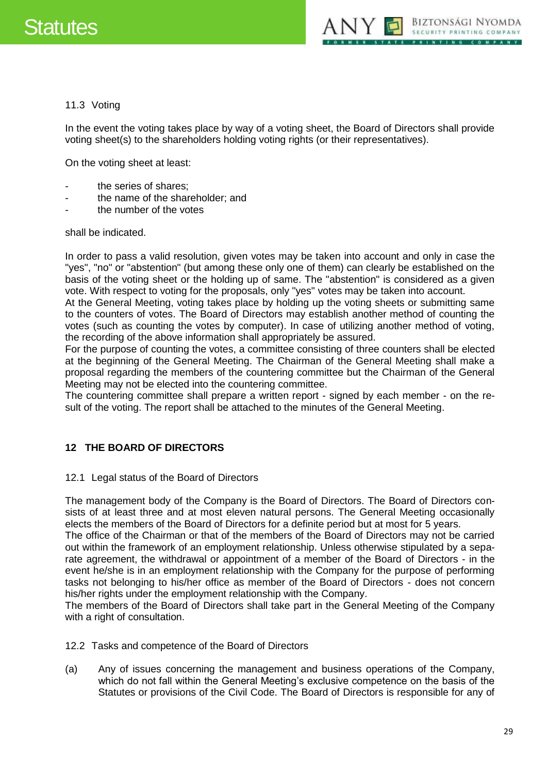

# <span id="page-28-0"></span>11.3 Voting

In the event the voting takes place by way of a voting sheet, the Board of Directors shall provide voting sheet(s) to the shareholders holding voting rights (or their representatives).

On the voting sheet at least:

- the series of shares:
- the name of the shareholder; and
- the number of the votes

shall be indicated.

In order to pass a valid resolution, given votes may be taken into account and only in case the "yes", "no" or "abstention" (but among these only one of them) can clearly be established on the basis of the voting sheet or the holding up of same. The "abstention" is considered as a given vote. With respect to voting for the proposals, only "yes" votes may be taken into account.

At the General Meeting, voting takes place by holding up the voting sheets or submitting same to the counters of votes. The Board of Directors may establish another method of counting the votes (such as counting the votes by computer). In case of utilizing another method of voting, the recording of the above information shall appropriately be assured.

For the purpose of counting the votes, a committee consisting of three counters shall be elected at the beginning of the General Meeting. The Chairman of the General Meeting shall make a proposal regarding the members of the countering committee but the Chairman of the General Meeting may not be elected into the countering committee.

The countering committee shall prepare a written report - signed by each member - on the result of the voting. The report shall be attached to the minutes of the General Meeting.

# <span id="page-28-1"></span>**12 THE BOARD OF DIRECTORS**

#### <span id="page-28-2"></span>12.1 Legal status of the Board of Directors

The management body of the Company is the Board of Directors. The Board of Directors consists of at least three and at most eleven natural persons. The General Meeting occasionally elects the members of the Board of Directors for a definite period but at most for 5 years.

The office of the Chairman or that of the members of the Board of Directors may not be carried out within the framework of an employment relationship. Unless otherwise stipulated by a separate agreement, the withdrawal or appointment of a member of the Board of Directors - in the event he/she is in an employment relationship with the Company for the purpose of performing tasks not belonging to his/her office as member of the Board of Directors - does not concern his/her rights under the employment relationship with the Company.

The members of the Board of Directors shall take part in the General Meeting of the Company with a right of consultation.

<span id="page-28-3"></span>12.2 Tasks and competence of the Board of Directors

(a) Any of issues concerning the management and business operations of the Company, which do not fall within the General Meeting's exclusive competence on the basis of the Statutes or provisions of the Civil Code. The Board of Directors is responsible for any of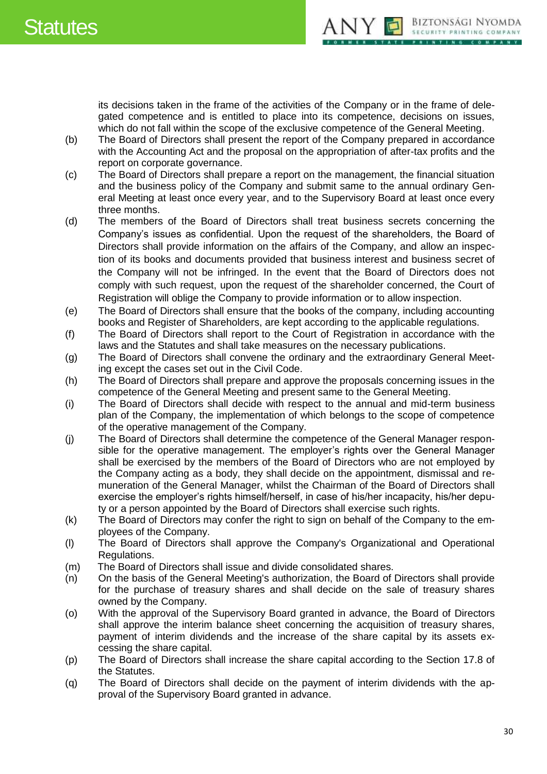

its decisions taken in the frame of the activities of the Company or in the frame of delegated competence and is entitled to place into its competence, decisions on issues, which do not fall within the scope of the exclusive competence of the General Meeting.

- (b) The Board of Directors shall present the report of the Company prepared in accordance with the Accounting Act and the proposal on the appropriation of after-tax profits and the report on corporate governance.
- (c) The Board of Directors shall prepare a report on the management, the financial situation and the business policy of the Company and submit same to the annual ordinary General Meeting at least once every year, and to the Supervisory Board at least once every three months.
- (d) The members of the Board of Directors shall treat business secrets concerning the Company's issues as confidential. Upon the request of the shareholders, the Board of Directors shall provide information on the affairs of the Company, and allow an inspection of its books and documents provided that business interest and business secret of the Company will not be infringed. In the event that the Board of Directors does not comply with such request, upon the request of the shareholder concerned, the Court of Registration will oblige the Company to provide information or to allow inspection.
- (e) The Board of Directors shall ensure that the books of the company, including accounting books and Register of Shareholders, are kept according to the applicable regulations.
- (f) The Board of Directors shall report to the Court of Registration in accordance with the laws and the Statutes and shall take measures on the necessary publications.
- (g) The Board of Directors shall convene the ordinary and the extraordinary General Meeting except the cases set out in the Civil Code.
- (h) The Board of Directors shall prepare and approve the proposals concerning issues in the competence of the General Meeting and present same to the General Meeting.
- (i) The Board of Directors shall decide with respect to the annual and mid-term business plan of the Company, the implementation of which belongs to the scope of competence of the operative management of the Company.
- (j) The Board of Directors shall determine the competence of the General Manager responsible for the operative management. The employer's rights over the General Manager shall be exercised by the members of the Board of Directors who are not employed by the Company acting as a body, they shall decide on the appointment, dismissal and remuneration of the General Manager, whilst the Chairman of the Board of Directors shall exercise the employer's rights himself/herself, in case of his/her incapacity, his/her deputy or a person appointed by the Board of Directors shall exercise such rights.
- (k) The Board of Directors may confer the right to sign on behalf of the Company to the employees of the Company.
- (l) The Board of Directors shall approve the Company's Organizational and Operational Regulations.
- (m) The Board of Directors shall issue and divide consolidated shares.
- (n) On the basis of the General Meeting's authorization, the Board of Directors shall provide for the purchase of treasury shares and shall decide on the sale of treasury shares owned by the Company.
- (o) With the approval of the Supervisory Board granted in advance, the Board of Directors shall approve the interim balance sheet concerning the acquisition of treasury shares, payment of interim dividends and the increase of the share capital by its assets excessing the share capital.
- (p) The Board of Directors shall increase the share capital according to the Section 17.8 of the Statutes.
- (q) The Board of Directors shall decide on the payment of interim dividends with the approval of the Supervisory Board granted in advance.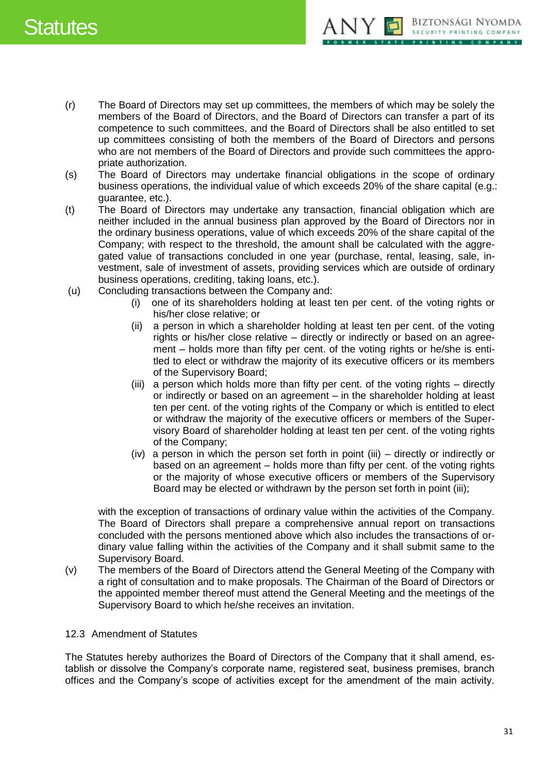

- (r) The Board of Directors may set up committees, the members of which may be solely the members of the Board of Directors, and the Board of Directors can transfer a part of its competence to such committees, and the Board of Directors shall be also entitled to set up committees consisting of both the members of the Board of Directors and persons who are not members of the Board of Directors and provide such committees the appropriate authorization.
- (s) The Board of Directors may undertake financial obligations in the scope of ordinary business operations, the individual value of which exceeds 20% of the share capital (e.g.: guarantee, etc.).
- (t) The Board of Directors may undertake any transaction, financial obligation which are neither included in the annual business plan approved by the Board of Directors nor in the ordinary business operations, value of which exceeds 20% of the share capital of the Company; with respect to the threshold, the amount shall be calculated with the aggregated value of transactions concluded in one year (purchase, rental, leasing, sale, investment, sale of investment of assets, providing services which are outside of ordinary business operations, crediting, taking loans, etc.).
- (u) Concluding transactions between the Company and:
	- (i) one of its shareholders holding at least ten per cent. of the voting rights or his/her close relative; or
	- (ii) a person in which a shareholder holding at least ten per cent. of the voting rights or his/her close relative – directly or indirectly or based on an agreement – holds more than fifty per cent. of the voting rights or he/she is entitled to elect or withdraw the majority of its executive officers or its members of the Supervisory Board;
	- (iii) a person which holds more than fifty per cent. of the voting rights directly or indirectly or based on an agreement – in the shareholder holding at least ten per cent. of the voting rights of the Company or which is entitled to elect or withdraw the majority of the executive officers or members of the Supervisory Board of shareholder holding at least ten per cent. of the voting rights of the Company;
	- (iv) a person in which the person set forth in point (iii) directly or indirectly or based on an agreement – holds more than fifty per cent. of the voting rights or the majority of whose executive officers or members of the Supervisory Board may be elected or withdrawn by the person set forth in point (iii);

with the exception of transactions of ordinary value within the activities of the Company. The Board of Directors shall prepare a comprehensive annual report on transactions concluded with the persons mentioned above which also includes the transactions of ordinary value falling within the activities of the Company and it shall submit same to the Supervisory Board.

(v) The members of the Board of Directors attend the General Meeting of the Company with a right of consultation and to make proposals. The Chairman of the Board of Directors or the appointed member thereof must attend the General Meeting and the meetings of the Supervisory Board to which he/she receives an invitation.

# <span id="page-30-0"></span>12.3 Amendment of Statutes

The Statutes hereby authorizes the Board of Directors of the Company that it shall amend, establish or dissolve the Company's corporate name, registered seat, business premises, branch offices and the Company's scope of activities except for the amendment of the main activity.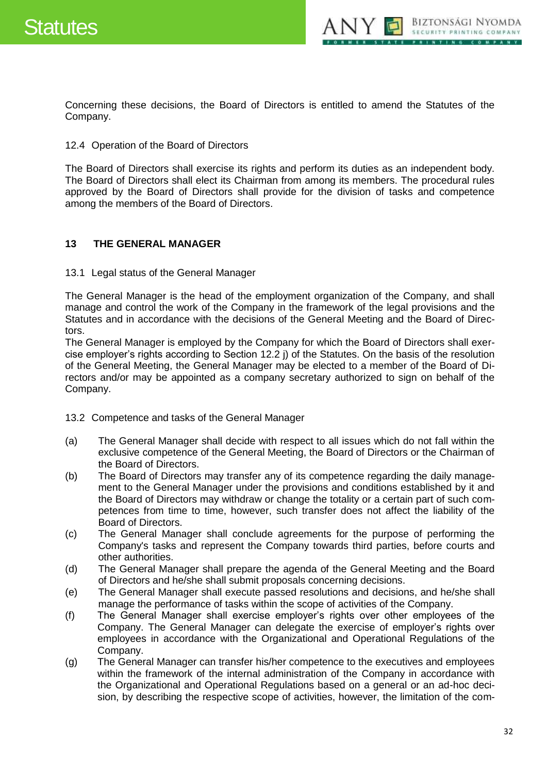

Concerning these decisions, the Board of Directors is entitled to amend the Statutes of the Company.

#### <span id="page-31-0"></span>12.4 Operation of the Board of Directors

The Board of Directors shall exercise its rights and perform its duties as an independent body. The Board of Directors shall elect its Chairman from among its members. The procedural rules approved by the Board of Directors shall provide for the division of tasks and competence among the members of the Board of Directors.

# <span id="page-31-1"></span>**13 THE GENERAL MANAGER**

<span id="page-31-2"></span>13.1 Legal status of the General Manager

The General Manager is the head of the employment organization of the Company, and shall manage and control the work of the Company in the framework of the legal provisions and the Statutes and in accordance with the decisions of the General Meeting and the Board of Directors.

The General Manager is employed by the Company for which the Board of Directors shall exercise employer's rights according to Section 12.2 j) of the Statutes. On the basis of the resolution of the General Meeting, the General Manager may be elected to a member of the Board of Directors and/or may be appointed as a company secretary authorized to sign on behalf of the Company.

<span id="page-31-3"></span>13.2 Competence and tasks of the General Manager

- (a) The General Manager shall decide with respect to all issues which do not fall within the exclusive competence of the General Meeting, the Board of Directors or the Chairman of the Board of Directors.
- (b) The Board of Directors may transfer any of its competence regarding the daily management to the General Manager under the provisions and conditions established by it and the Board of Directors may withdraw or change the totality or a certain part of such competences from time to time, however, such transfer does not affect the liability of the Board of Directors.
- (c) The General Manager shall conclude agreements for the purpose of performing the Company's tasks and represent the Company towards third parties, before courts and other authorities.
- (d) The General Manager shall prepare the agenda of the General Meeting and the Board of Directors and he/she shall submit proposals concerning decisions.
- (e) The General Manager shall execute passed resolutions and decisions, and he/she shall manage the performance of tasks within the scope of activities of the Company.
- (f) The General Manager shall exercise employer's rights over other employees of the Company. The General Manager can delegate the exercise of employer's rights over employees in accordance with the Organizational and Operational Regulations of the Company.
- (g) The General Manager can transfer his/her competence to the executives and employees within the framework of the internal administration of the Company in accordance with the Organizational and Operational Regulations based on a general or an ad-hoc decision, by describing the respective scope of activities, however, the limitation of the com-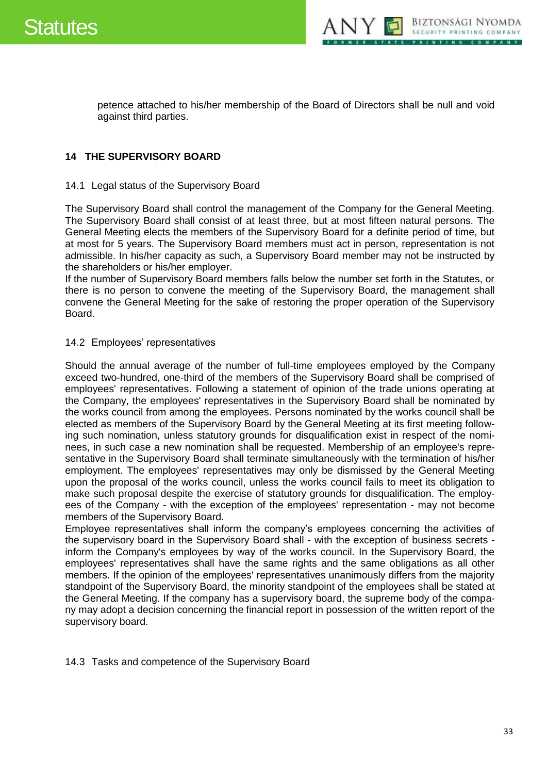



petence attached to his/her membership of the Board of Directors shall be null and void against third parties.

### <span id="page-32-0"></span>**14 THE SUPERVISORY BOARD**

#### <span id="page-32-1"></span>14.1 Legal status of the Supervisory Board

The Supervisory Board shall control the management of the Company for the General Meeting. The Supervisory Board shall consist of at least three, but at most fifteen natural persons. The General Meeting elects the members of the Supervisory Board for a definite period of time, but at most for 5 years. The Supervisory Board members must act in person, representation is not admissible. In his/her capacity as such, a Supervisory Board member may not be instructed by the shareholders or his/her employer.

If the number of Supervisory Board members falls below the number set forth in the Statutes, or there is no person to convene the meeting of the Supervisory Board, the management shall convene the General Meeting for the sake of restoring the proper operation of the Supervisory Board.

#### <span id="page-32-2"></span>14.2 Employees' representatives

Should the annual average of the number of full-time employees employed by the Company exceed two-hundred, one-third of the members of the Supervisory Board shall be comprised of employees' representatives. Following a statement of opinion of the trade unions operating at the Company, the employees' representatives in the Supervisory Board shall be nominated by the works council from among the employees. Persons nominated by the works council shall be elected as members of the Supervisory Board by the General Meeting at its first meeting following such nomination, unless statutory grounds for disqualification exist in respect of the nominees, in such case a new nomination shall be requested. Membership of an employee's representative in the Supervisory Board shall terminate simultaneously with the termination of his/her employment. The employees' representatives may only be dismissed by the General Meeting upon the proposal of the works council, unless the works council fails to meet its obligation to make such proposal despite the exercise of statutory grounds for disqualification. The employees of the Company - with the exception of the employees' representation - may not become members of the Supervisory Board.

Employee representatives shall inform the company's employees concerning the activities of the supervisory board in the Supervisory Board shall - with the exception of business secrets inform the Company's employees by way of the works council. In the Supervisory Board, the employees' representatives shall have the same rights and the same obligations as all other members. If the opinion of the employees' representatives unanimously differs from the majority standpoint of the Supervisory Board, the minority standpoint of the employees shall be stated at the General Meeting. If the company has a supervisory board, the supreme body of the company may adopt a decision concerning the financial report in possession of the written report of the supervisory board.

<span id="page-32-3"></span>14.3 Tasks and competence of the Supervisory Board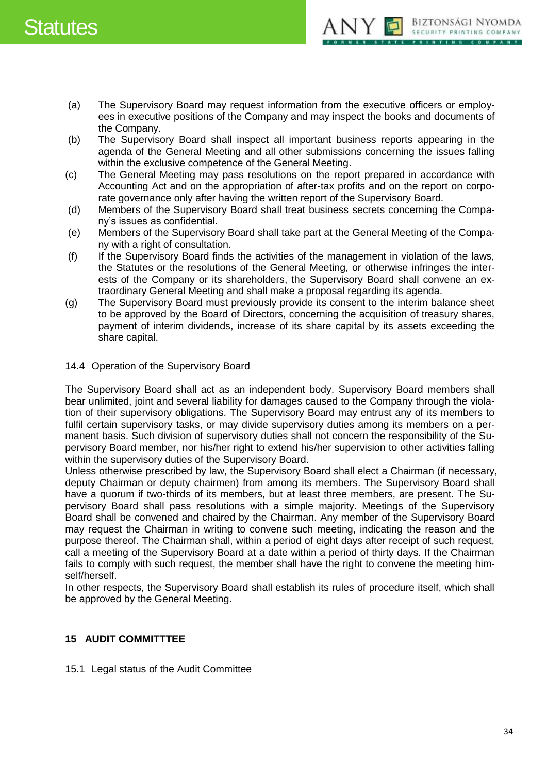

- (a) The Supervisory Board may request information from the executive officers or employees in executive positions of the Company and may inspect the books and documents of the Company.
- (b) The Supervisory Board shall inspect all important business reports appearing in the agenda of the General Meeting and all other submissions concerning the issues falling within the exclusive competence of the General Meeting.
- (c) The General Meeting may pass resolutions on the report prepared in accordance with Accounting Act and on the appropriation of after-tax profits and on the report on corporate governance only after having the written report of the Supervisory Board.
- (d) Members of the Supervisory Board shall treat business secrets concerning the Company's issues as confidential.
- (e) Members of the Supervisory Board shall take part at the General Meeting of the Company with a right of consultation.
- (f) If the Supervisory Board finds the activities of the management in violation of the laws, the Statutes or the resolutions of the General Meeting, or otherwise infringes the interests of the Company or its shareholders, the Supervisory Board shall convene an extraordinary General Meeting and shall make a proposal regarding its agenda.
- (g) The Supervisory Board must previously provide its consent to the interim balance sheet to be approved by the Board of Directors, concerning the acquisition of treasury shares, payment of interim dividends, increase of its share capital by its assets exceeding the share capital.
- <span id="page-33-0"></span>14.4 Operation of the Supervisory Board

The Supervisory Board shall act as an independent body. Supervisory Board members shall bear unlimited, joint and several liability for damages caused to the Company through the violation of their supervisory obligations. The Supervisory Board may entrust any of its members to fulfil certain supervisory tasks, or may divide supervisory duties among its members on a permanent basis. Such division of supervisory duties shall not concern the responsibility of the Supervisory Board member, nor his/her right to extend his/her supervision to other activities falling within the supervisory duties of the Supervisory Board.

Unless otherwise prescribed by law, the Supervisory Board shall elect a Chairman (if necessary, deputy Chairman or deputy chairmen) from among its members. The Supervisory Board shall have a quorum if two-thirds of its members, but at least three members, are present. The Supervisory Board shall pass resolutions with a simple majority. Meetings of the Supervisory Board shall be convened and chaired by the Chairman. Any member of the Supervisory Board may request the Chairman in writing to convene such meeting, indicating the reason and the purpose thereof. The Chairman shall, within a period of eight days after receipt of such request, call a meeting of the Supervisory Board at a date within a period of thirty days. If the Chairman fails to comply with such request, the member shall have the right to convene the meeting himself/herself.

In other respects, the Supervisory Board shall establish its rules of procedure itself, which shall be approved by the General Meeting.

# <span id="page-33-1"></span>**15 AUDIT COMMITTTEE**

<span id="page-33-2"></span>15.1 Legal status of the Audit Committee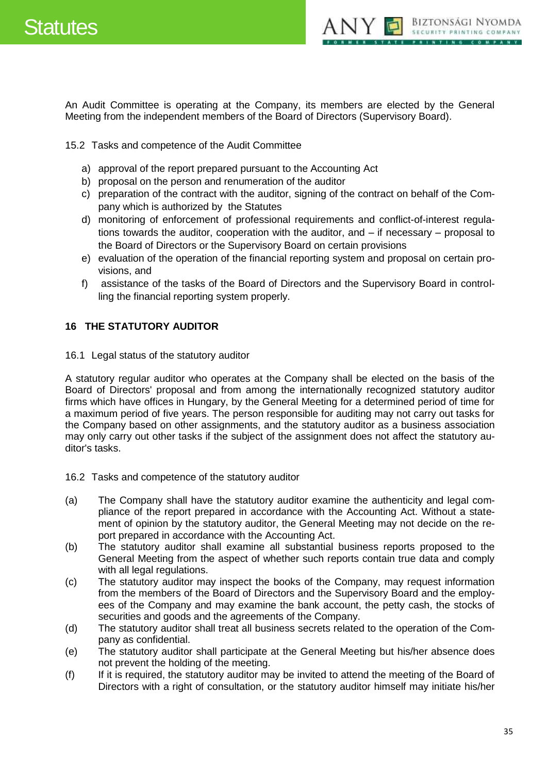



An Audit Committee is operating at the Company, its members are elected by the General Meeting from the independent members of the Board of Directors (Supervisory Board).

<span id="page-34-0"></span>15.2 Tasks and competence of the Audit Committee

- a) approval of the report prepared pursuant to the Accounting Act
- b) proposal on the person and renumeration of the auditor
- c) preparation of the contract with the auditor, signing of the contract on behalf of the Company which is authorized by the Statutes
- d) monitoring of enforcement of professional requirements and conflict-of-interest regulations towards the auditor, cooperation with the auditor, and – if necessary – proposal to the Board of Directors or the Supervisory Board on certain provisions
- e) evaluation of the operation of the financial reporting system and proposal on certain provisions, and
- f) assistance of the tasks of the Board of Directors and the Supervisory Board in controlling the financial reporting system properly.

# <span id="page-34-1"></span>**16 THE STATUTORY AUDITOR**

<span id="page-34-2"></span>16.1 Legal status of the statutory auditor

A statutory regular auditor who operates at the Company shall be elected on the basis of the Board of Directors' proposal and from among the internationally recognized statutory auditor firms which have offices in Hungary, by the General Meeting for a determined period of time for a maximum period of five years. The person responsible for auditing may not carry out tasks for the Company based on other assignments, and the statutory auditor as a business association may only carry out other tasks if the subject of the assignment does not affect the statutory auditor's tasks.

- <span id="page-34-3"></span>16.2 Tasks and competence of the statutory auditor
- (a) The Company shall have the statutory auditor examine the authenticity and legal compliance of the report prepared in accordance with the Accounting Act. Without a statement of opinion by the statutory auditor, the General Meeting may not decide on the report prepared in accordance with the Accounting Act.
- (b) The statutory auditor shall examine all substantial business reports proposed to the General Meeting from the aspect of whether such reports contain true data and comply with all legal regulations.
- (c) The statutory auditor may inspect the books of the Company, may request information from the members of the Board of Directors and the Supervisory Board and the employees of the Company and may examine the bank account, the petty cash, the stocks of securities and goods and the agreements of the Company.
- (d) The statutory auditor shall treat all business secrets related to the operation of the Company as confidential.
- (e) The statutory auditor shall participate at the General Meeting but his/her absence does not prevent the holding of the meeting.
- (f) If it is required, the statutory auditor may be invited to attend the meeting of the Board of Directors with a right of consultation, or the statutory auditor himself may initiate his/her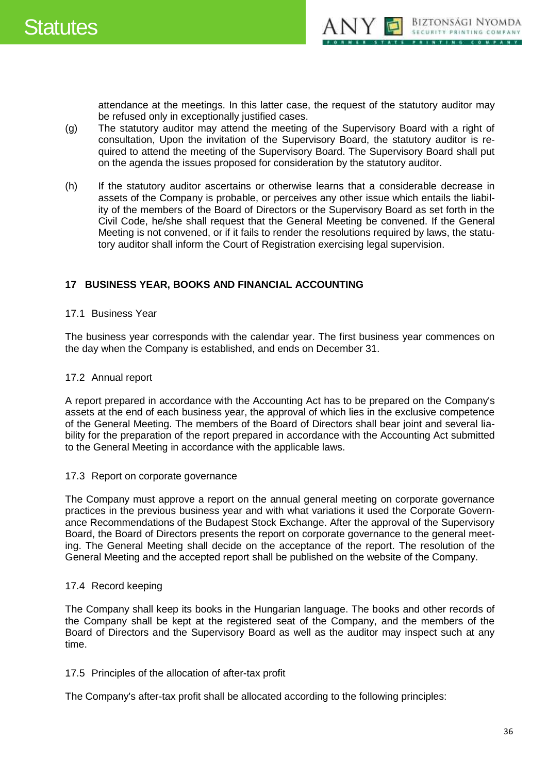

attendance at the meetings. In this latter case, the request of the statutory auditor may be refused only in exceptionally justified cases.

- (g) The statutory auditor may attend the meeting of the Supervisory Board with a right of consultation, Upon the invitation of the Supervisory Board, the statutory auditor is required to attend the meeting of the Supervisory Board. The Supervisory Board shall put on the agenda the issues proposed for consideration by the statutory auditor.
- (h) If the statutory auditor ascertains or otherwise learns that a considerable decrease in assets of the Company is probable, or perceives any other issue which entails the liability of the members of the Board of Directors or the Supervisory Board as set forth in the Civil Code, he/she shall request that the General Meeting be convened. If the General Meeting is not convened, or if it fails to render the resolutions required by laws, the statutory auditor shall inform the Court of Registration exercising legal supervision.

# <span id="page-35-0"></span>**17 BUSINESS YEAR, BOOKS AND FINANCIAL ACCOUNTING**

#### <span id="page-35-1"></span>17.1 Business Year

The business year corresponds with the calendar year. The first business year commences on the day when the Company is established, and ends on December 31.

### <span id="page-35-2"></span>17.2 Annual report

A report prepared in accordance with the Accounting Act has to be prepared on the Company's assets at the end of each business year, the approval of which lies in the exclusive competence of the General Meeting. The members of the Board of Directors shall bear joint and several liability for the preparation of the report prepared in accordance with the Accounting Act submitted to the General Meeting in accordance with the applicable laws.

#### <span id="page-35-3"></span>17.3 Report on corporate governance

The Company must approve a report on the annual general meeting on corporate governance practices in the previous business year and with what variations it used the Corporate Governance Recommendations of the Budapest Stock Exchange. After the approval of the Supervisory Board, the Board of Directors presents the report on corporate governance to the general meeting. The General Meeting shall decide on the acceptance of the report. The resolution of the General Meeting and the accepted report shall be published on the website of the Company.

# <span id="page-35-4"></span>17.4 Record keeping

The Company shall keep its books in the Hungarian language. The books and other records of the Company shall be kept at the registered seat of the Company, and the members of the Board of Directors and the Supervisory Board as well as the auditor may inspect such at any time.

#### <span id="page-35-5"></span>17.5 Principles of the allocation of after-tax profit

The Company's after-tax profit shall be allocated according to the following principles: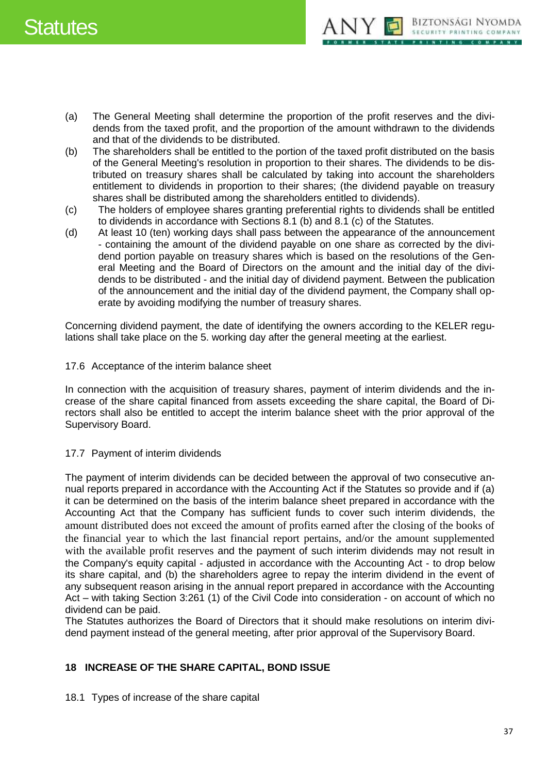# Statutes



- (a) The General Meeting shall determine the proportion of the profit reserves and the dividends from the taxed profit, and the proportion of the amount withdrawn to the dividends and that of the dividends to be distributed.
- (b) The shareholders shall be entitled to the portion of the taxed profit distributed on the basis of the General Meeting's resolution in proportion to their shares. The dividends to be distributed on treasury shares shall be calculated by taking into account the shareholders entitlement to dividends in proportion to their shares; (the dividend payable on treasury shares shall be distributed among the shareholders entitled to dividends).
- (c) The holders of employee shares granting preferential rights to dividends shall be entitled to dividends in accordance with Sections 8.1 (b) and 8.1 (c) of the Statutes.
- (d) At least 10 (ten) working days shall pass between the appearance of the announcement - containing the amount of the dividend payable on one share as corrected by the dividend portion payable on treasury shares which is based on the resolutions of the General Meeting and the Board of Directors on the amount and the initial day of the dividends to be distributed - and the initial day of dividend payment. Between the publication of the announcement and the initial day of the dividend payment, the Company shall operate by avoiding modifying the number of treasury shares.

Concerning dividend payment, the date of identifying the owners according to the KELER regulations shall take place on the 5. working day after the general meeting at the earliest.

<span id="page-36-0"></span>17.6 Acceptance of the interim balance sheet

In connection with the acquisition of treasury shares, payment of interim dividends and the increase of the share capital financed from assets exceeding the share capital, the Board of Directors shall also be entitled to accept the interim balance sheet with the prior approval of the Supervisory Board.

# <span id="page-36-1"></span>17.7 Payment of interim dividends

The payment of interim dividends can be decided between the approval of two consecutive annual reports prepared in accordance with the Accounting Act if the Statutes so provide and if (a) it can be determined on the basis of the interim balance sheet prepared in accordance with the Accounting Act that the Company has sufficient funds to cover such interim dividends, the amount distributed does not exceed the amount of profits earned after the closing of the books of the financial year to which the last financial report pertains, and/or the amount supplemented with the available profit reserves and the payment of such interim dividends may not result in the Company's equity capital - adjusted in accordance with the Accounting Act - to drop below its share capital, and (b) the shareholders agree to repay the interim dividend in the event of any subsequent reason arising in the annual report prepared in accordance with the Accounting Act – with taking Section 3:261 (1) of the Civil Code into consideration - on account of which no dividend can be paid.

The Statutes authorizes the Board of Directors that it should make resolutions on interim dividend payment instead of the general meeting, after prior approval of the Supervisory Board.

# <span id="page-36-2"></span>**18 INCREASE OF THE SHARE CAPITAL, BOND ISSUE**

<span id="page-36-3"></span>18.1 Types of increase of the share capital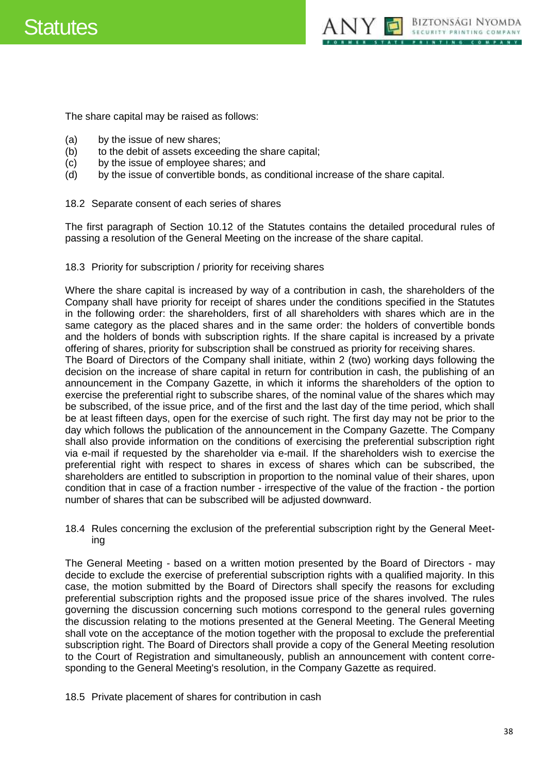



The share capital may be raised as follows:

- (a) by the issue of new shares;
- (b) to the debit of assets exceeding the share capital;
- (c) by the issue of employee shares; and
- (d) by the issue of convertible bonds, as conditional increase of the share capital.
- <span id="page-37-0"></span>18.2 Separate consent of each series of shares

The first paragraph of Section 10.12 of the Statutes contains the detailed procedural rules of passing a resolution of the General Meeting on the increase of the share capital.

#### <span id="page-37-1"></span>18.3 Priority for subscription / priority for receiving shares

Where the share capital is increased by way of a contribution in cash, the shareholders of the Company shall have priority for receipt of shares under the conditions specified in the Statutes in the following order: the shareholders, first of all shareholders with shares which are in the same category as the placed shares and in the same order: the holders of convertible bonds and the holders of bonds with subscription rights. If the share capital is increased by a private offering of shares, priority for subscription shall be construed as priority for receiving shares.

The Board of Directors of the Company shall initiate, within 2 (two) working days following the decision on the increase of share capital in return for contribution in cash, the publishing of an announcement in the Company Gazette, in which it informs the shareholders of the option to exercise the preferential right to subscribe shares, of the nominal value of the shares which may be subscribed, of the issue price, and of the first and the last day of the time period, which shall be at least fifteen days, open for the exercise of such right. The first day may not be prior to the day which follows the publication of the announcement in the Company Gazette. The Company shall also provide information on the conditions of exercising the preferential subscription right via e-mail if requested by the shareholder via e-mail. If the shareholders wish to exercise the preferential right with respect to shares in excess of shares which can be subscribed, the shareholders are entitled to subscription in proportion to the nominal value of their shares, upon condition that in case of a fraction number - irrespective of the value of the fraction - the portion number of shares that can be subscribed will be adjusted downward.

<span id="page-37-2"></span>18.4 Rules concerning the exclusion of the preferential subscription right by the General Meeting

The General Meeting - based on a written motion presented by the Board of Directors - may decide to exclude the exercise of preferential subscription rights with a qualified majority. In this case, the motion submitted by the Board of Directors shall specify the reasons for excluding preferential subscription rights and the proposed issue price of the shares involved. The rules governing the discussion concerning such motions correspond to the general rules governing the discussion relating to the motions presented at the General Meeting. The General Meeting shall vote on the acceptance of the motion together with the proposal to exclude the preferential subscription right. The Board of Directors shall provide a copy of the General Meeting resolution to the Court of Registration and simultaneously, publish an announcement with content corresponding to the General Meeting's resolution, in the Company Gazette as required.

<span id="page-37-3"></span>18.5 Private placement of shares for contribution in cash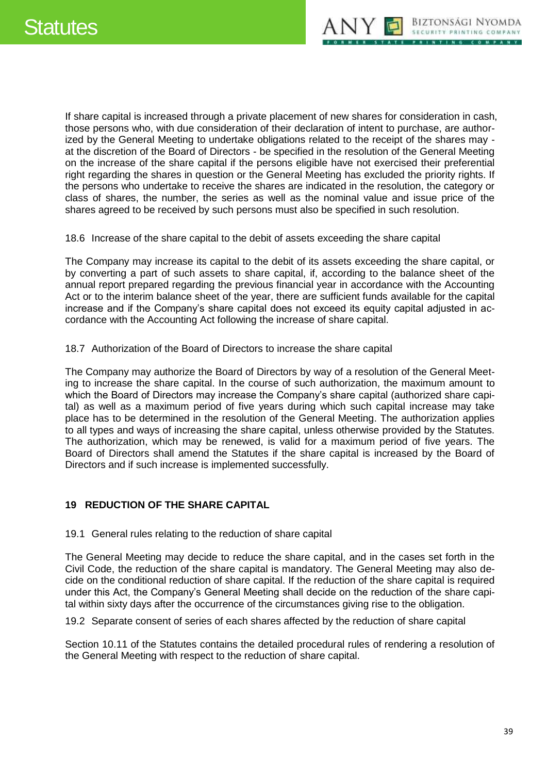If share capital is increased through a private placement of new shares for consideration in cash, those persons who, with due consideration of their declaration of intent to purchase, are authorized by the General Meeting to undertake obligations related to the receipt of the shares may at the discretion of the Board of Directors - be specified in the resolution of the General Meeting on the increase of the share capital if the persons eligible have not exercised their preferential right regarding the shares in question or the General Meeting has excluded the priority rights. If the persons who undertake to receive the shares are indicated in the resolution, the category or class of shares, the number, the series as well as the nominal value and issue price of the shares agreed to be received by such persons must also be specified in such resolution.

<span id="page-38-0"></span>18.6 Increase of the share capital to the debit of assets exceeding the share capital

The Company may increase its capital to the debit of its assets exceeding the share capital, or by converting a part of such assets to share capital, if, according to the balance sheet of the annual report prepared regarding the previous financial year in accordance with the Accounting Act or to the interim balance sheet of the year, there are sufficient funds available for the capital increase and if the Company's share capital does not exceed its equity capital adjusted in accordance with the Accounting Act following the increase of share capital.

<span id="page-38-1"></span>18.7 Authorization of the Board of Directors to increase the share capital

The Company may authorize the Board of Directors by way of a resolution of the General Meeting to increase the share capital. In the course of such authorization, the maximum amount to which the Board of Directors may increase the Company's share capital (authorized share capital) as well as a maximum period of five years during which such capital increase may take place has to be determined in the resolution of the General Meeting. The authorization applies to all types and ways of increasing the share capital, unless otherwise provided by the Statutes. The authorization, which may be renewed, is valid for a maximum period of five years. The Board of Directors shall amend the Statutes if the share capital is increased by the Board of Directors and if such increase is implemented successfully.

# <span id="page-38-2"></span>**19 REDUCTION OF THE SHARE CAPITAL**

<span id="page-38-3"></span>19.1 General rules relating to the reduction of share capital

The General Meeting may decide to reduce the share capital, and in the cases set forth in the Civil Code, the reduction of the share capital is mandatory. The General Meeting may also decide on the conditional reduction of share capital. If the reduction of the share capital is required under this Act, the Company's General Meeting shall decide on the reduction of the share capital within sixty days after the occurrence of the circumstances giving rise to the obligation.

<span id="page-38-4"></span>19.2 Separate consent of series of each shares affected by the reduction of share capital

Section 10.11 of the Statutes contains the detailed procedural rules of rendering a resolution of the General Meeting with respect to the reduction of share capital.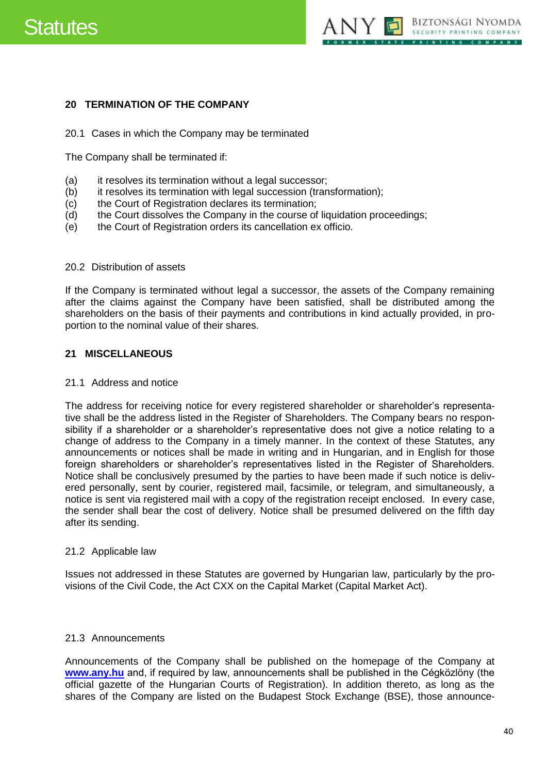# Statutes



### <span id="page-39-0"></span>**20 TERMINATION OF THE COMPANY**

#### <span id="page-39-1"></span>20.1 Cases in which the Company may be terminated

The Company shall be terminated if:

- (a) it resolves its termination without a legal successor;
- (b) it resolves its termination with legal succession (transformation);
- (c) the Court of Registration declares its termination;
- (d) the Court dissolves the Company in the course of liquidation proceedings;
- (e) the Court of Registration orders its cancellation ex officio.

#### <span id="page-39-2"></span>20.2 Distribution of assets

If the Company is terminated without legal a successor, the assets of the Company remaining after the claims against the Company have been satisfied, shall be distributed among the shareholders on the basis of their payments and contributions in kind actually provided, in proportion to the nominal value of their shares.

#### <span id="page-39-3"></span>**21 MISCELLANEOUS**

#### <span id="page-39-4"></span>21.1 Address and notice

The address for receiving notice for every registered shareholder or shareholder's representative shall be the address listed in the Register of Shareholders. The Company bears no responsibility if a shareholder or a shareholder's representative does not give a notice relating to a change of address to the Company in a timely manner. In the context of these Statutes, any announcements or notices shall be made in writing and in Hungarian, and in English for those foreign shareholders or shareholder's representatives listed in the Register of Shareholders. Notice shall be conclusively presumed by the parties to have been made if such notice is delivered personally, sent by courier, registered mail, facsimile, or telegram, and simultaneously, a notice is sent via registered mail with a copy of the registration receipt enclosed. In every case, the sender shall bear the cost of delivery. Notice shall be presumed delivered on the fifth day after its sending.

#### <span id="page-39-5"></span>21.2 Applicable law

Issues not addressed in these Statutes are governed by Hungarian law, particularly by the provisions of the Civil Code, the Act CXX on the Capital Market (Capital Market Act).

#### <span id="page-39-6"></span>21.3 Announcements

Announcements of the Company shall be published on the homepage of the Company at **[www.any.hu](http://www.any.hu/)** and, if required by law, announcements shall be published in the Cégközlöny (the official gazette of the Hungarian Courts of Registration). In addition thereto, as long as the shares of the Company are listed on the Budapest Stock Exchange (BSE), those announce-